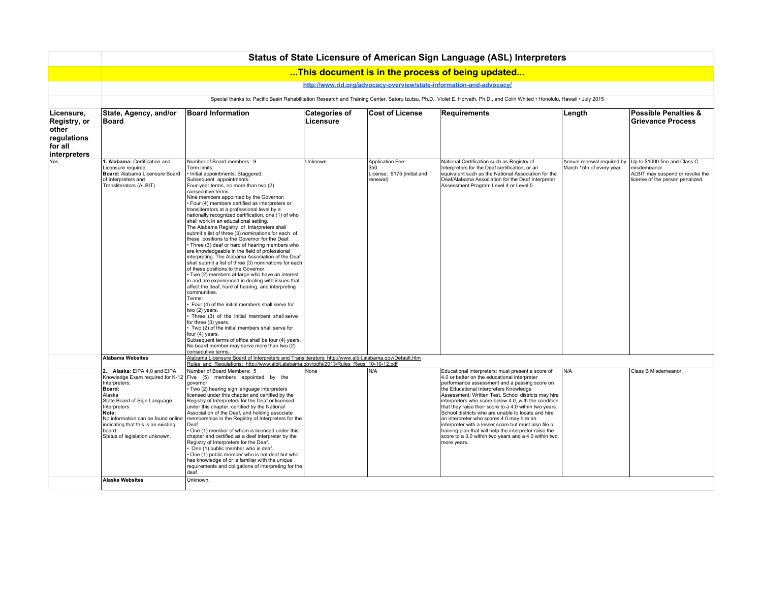|                                                                               | Status of State Licensure of American Sign Language (ASL) Interpreters                                                                                                                                                                                     |                                                                                                                                                                                                                                                                                                                                                                                                                                                                                                                                                                                                                                                                                                                                                                                                                                                                                                                                                                                                                                                                                                                                                                                                                                                                                                                                                                               |                                   |                                                                     |                                                                                                                                                                                                                                                                                                                                                                                                                                                                                                                                                                                                                                                                   |                                                         |                                                                                                                      |  |  |  |  |
|-------------------------------------------------------------------------------|------------------------------------------------------------------------------------------------------------------------------------------------------------------------------------------------------------------------------------------------------------|-------------------------------------------------------------------------------------------------------------------------------------------------------------------------------------------------------------------------------------------------------------------------------------------------------------------------------------------------------------------------------------------------------------------------------------------------------------------------------------------------------------------------------------------------------------------------------------------------------------------------------------------------------------------------------------------------------------------------------------------------------------------------------------------------------------------------------------------------------------------------------------------------------------------------------------------------------------------------------------------------------------------------------------------------------------------------------------------------------------------------------------------------------------------------------------------------------------------------------------------------------------------------------------------------------------------------------------------------------------------------------|-----------------------------------|---------------------------------------------------------------------|-------------------------------------------------------------------------------------------------------------------------------------------------------------------------------------------------------------------------------------------------------------------------------------------------------------------------------------------------------------------------------------------------------------------------------------------------------------------------------------------------------------------------------------------------------------------------------------------------------------------------------------------------------------------|---------------------------------------------------------|----------------------------------------------------------------------------------------------------------------------|--|--|--|--|
|                                                                               |                                                                                                                                                                                                                                                            |                                                                                                                                                                                                                                                                                                                                                                                                                                                                                                                                                                                                                                                                                                                                                                                                                                                                                                                                                                                                                                                                                                                                                                                                                                                                                                                                                                               |                                   |                                                                     | This document is in the process of being updated                                                                                                                                                                                                                                                                                                                                                                                                                                                                                                                                                                                                                  |                                                         |                                                                                                                      |  |  |  |  |
|                                                                               | http://www.rid.org/advocacy-overview/state-information-and-advocacy/                                                                                                                                                                                       |                                                                                                                                                                                                                                                                                                                                                                                                                                                                                                                                                                                                                                                                                                                                                                                                                                                                                                                                                                                                                                                                                                                                                                                                                                                                                                                                                                               |                                   |                                                                     |                                                                                                                                                                                                                                                                                                                                                                                                                                                                                                                                                                                                                                                                   |                                                         |                                                                                                                      |  |  |  |  |
|                                                                               | Special thanks to: Pacific Basin Rehabilitation Research and Training Center, Satoru Izutsu, Ph.D., Violet E. Horvath, Ph.D., and Colin Whited . Honolulu, Hawaii . July 2015                                                                              |                                                                                                                                                                                                                                                                                                                                                                                                                                                                                                                                                                                                                                                                                                                                                                                                                                                                                                                                                                                                                                                                                                                                                                                                                                                                                                                                                                               |                                   |                                                                     |                                                                                                                                                                                                                                                                                                                                                                                                                                                                                                                                                                                                                                                                   |                                                         |                                                                                                                      |  |  |  |  |
| Licensure,<br>Registry, or<br>other<br>regulations<br>for all<br>interpreters | State, Agency, and/or<br>Board                                                                                                                                                                                                                             | <b>Board Information</b>                                                                                                                                                                                                                                                                                                                                                                                                                                                                                                                                                                                                                                                                                                                                                                                                                                                                                                                                                                                                                                                                                                                                                                                                                                                                                                                                                      | <b>Categories of</b><br>Licensure | <b>Cost of License</b>                                              | <b>Requirements</b>                                                                                                                                                                                                                                                                                                                                                                                                                                                                                                                                                                                                                                               | Length                                                  | <b>Possible Penalties &amp;</b><br><b>Grievance Process</b>                                                          |  |  |  |  |
| Yes                                                                           | 1. Alabama: Certification and<br>Licensure required.<br>Board: Alabama Licensure Board<br>of Interpreters and<br>Transliterators (ALBIT)                                                                                                                   | Number of Board members: 9<br>Term limits:<br>· Initial appointments: Staggered.<br>Subsequent appointments:<br>Four-year terms, no more than two (2)<br>consecutive terms.<br>Nine members appointed by the Governor:<br>· Four (4) members certified as interpreters or<br>transliterators at a professional level by a<br>nationally recognized certification, one (1) of who<br>shall work in an educational setting.<br>The Alabama Registry of Interpreters shall<br>submit a list of three (3) nominations for each of<br>these positions to the Governor for the Deaf.<br>Three (3) deaf or hard of hearing members who<br>are knowledgeable in the field of professional<br>interpreting. The Alabama Association of the Deaf<br>shall submit a list of three (3) nominations for each<br>of these positions to the Governor.<br>· Two (2) members at-large who have an interest<br>in and are experienced in dealing with issues that<br>affect the deaf, hard of hearing, and interpreting<br>communities.<br>Terms:<br>Four (4) of the initial members shall serve for<br>two (2) years.<br>Three (3) of the initial members shall serve<br>for three (3) years.<br>Two (2) of the initial members shall serve for<br>four (4) years.<br>Subsequent terms of office shall be four (4) years.<br>No board member may serve more than two (2)<br>consecutive terms. | Unknown.                          | Application Fee:<br>\$50<br>License: \$175 (initial and<br>renewal) | National Certification such as Registry of<br>Interpreters for the Deaf certification, or an<br>equivalent such as the National Association for the<br>Deaf/Alabama Association for the Deaf Interpreter<br>Assessment Program Level 4 or Level 5.                                                                                                                                                                                                                                                                                                                                                                                                                | Annual renewal required by<br>March 15th of every year. | Up to \$1000 fine and Class C<br>misdemeanor.<br>ALBIT may suspend or revoke the<br>license of the person penalized. |  |  |  |  |
|                                                                               | <b>Alabama Websites</b>                                                                                                                                                                                                                                    | Alabama Licensure Board of Interpreters and Transliterators: http://www.albit.alabama.gov/Default.htm<br>Rules and Regulations: http://www.albit.alabama.gov/pdfs/2013/Rules Regs 10-10-12.pdf                                                                                                                                                                                                                                                                                                                                                                                                                                                                                                                                                                                                                                                                                                                                                                                                                                                                                                                                                                                                                                                                                                                                                                                |                                   |                                                                     |                                                                                                                                                                                                                                                                                                                                                                                                                                                                                                                                                                                                                                                                   |                                                         |                                                                                                                      |  |  |  |  |
|                                                                               | 2. Alaska: EIPA 4.0 and EIPA<br>Interpreters.<br>Board:<br><b>Alaska</b><br>State Board of Sign Language<br>Interpreters<br>Note:<br>No information can be found online<br>indicating that this is an existing<br>board.<br>Status of legislation unknown. | Number of Board Members: 5<br>Knowledge Exam required for K-12 Five (5) members appointed by the<br>governor:<br>· Two (2) hearing sign language interpreters<br>licensed under this chapter and certified by the<br>Registry of Interpreters for the Deaf or licensed<br>under this chapter, certified by the National<br>Association of the Deaf, and holding associate<br>memberships in the Registry of Interpreters for the<br>Deaf.<br>One (1) member of whom is licensed under this<br>chapter and certified as a deaf interpreter by the<br>Registry of Interpreters for the Deaf.<br>One (1) public member who is deaf.<br>One (1) public member who is not deaf but who<br>has knowledge of or is familiar with the unique<br>requirements and obligations of interpreting for the<br>deaf.                                                                                                                                                                                                                                                                                                                                                                                                                                                                                                                                                                         | None                              | N/A                                                                 | Educational interpreters: must present a score of<br>4.0 or better on the educational interpreter<br>performance assessment and a passing score on<br>the Educational Interpreters Knowledge<br>Assessment: Written Test. School districts may hire<br>interpreters who score below 4.0, with the condition<br>that they raise their score to a 4.0 within two years.<br>School districts who are unable to locate and hire<br>an interpreter who scores 4.0 may hire an<br>interpreter with a lesser score but must also file a<br>training plan that will help the interpreter raise the<br>score to a 3.0 within two years and a 4.0 within two<br>more years. | N/A                                                     | Class B Misdemeanor.                                                                                                 |  |  |  |  |
|                                                                               | <b>Alaska Websites</b>                                                                                                                                                                                                                                     | Unknown.                                                                                                                                                                                                                                                                                                                                                                                                                                                                                                                                                                                                                                                                                                                                                                                                                                                                                                                                                                                                                                                                                                                                                                                                                                                                                                                                                                      |                                   |                                                                     |                                                                                                                                                                                                                                                                                                                                                                                                                                                                                                                                                                                                                                                                   |                                                         |                                                                                                                      |  |  |  |  |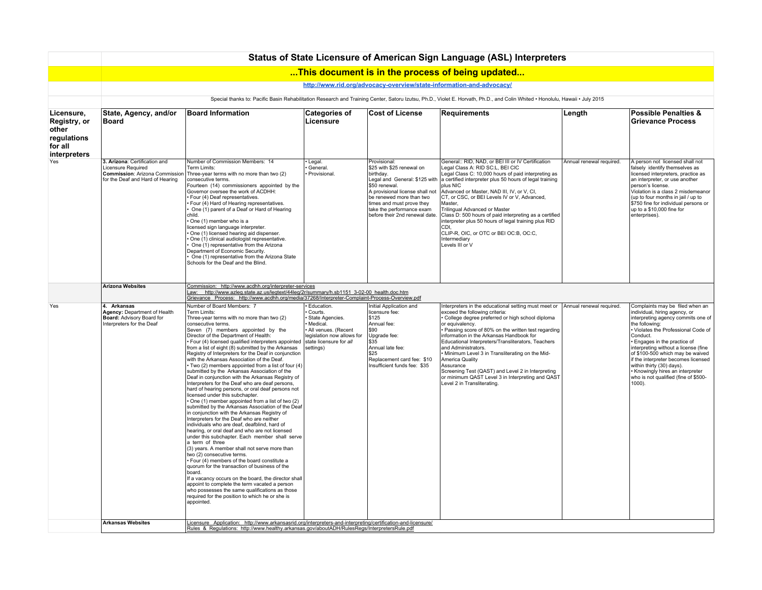|                                                                               | Status of State Licensure of American Sign Language (ASL) Interpreters                                                           |                                                                                                                                                                                                                                                                                                                                                                                                                                                                                                                                                                                                                                                                                                                                                                                                                                                                                                                                                                                                                                                                                                                                                                                                                                                                                                                                                                                                                                                                                                                        |                                                                                                                                                   |                                                                                                                                                                                                                                                                     |                                                                                                                                                                                                                                                                                                                                                                                                                                                                                                                                                                       |                          |                                                                                                                                                                                                                                                                                                                                                                                                                                                 |  |  |  |  |
|-------------------------------------------------------------------------------|----------------------------------------------------------------------------------------------------------------------------------|------------------------------------------------------------------------------------------------------------------------------------------------------------------------------------------------------------------------------------------------------------------------------------------------------------------------------------------------------------------------------------------------------------------------------------------------------------------------------------------------------------------------------------------------------------------------------------------------------------------------------------------------------------------------------------------------------------------------------------------------------------------------------------------------------------------------------------------------------------------------------------------------------------------------------------------------------------------------------------------------------------------------------------------------------------------------------------------------------------------------------------------------------------------------------------------------------------------------------------------------------------------------------------------------------------------------------------------------------------------------------------------------------------------------------------------------------------------------------------------------------------------------|---------------------------------------------------------------------------------------------------------------------------------------------------|---------------------------------------------------------------------------------------------------------------------------------------------------------------------------------------------------------------------------------------------------------------------|-----------------------------------------------------------------------------------------------------------------------------------------------------------------------------------------------------------------------------------------------------------------------------------------------------------------------------------------------------------------------------------------------------------------------------------------------------------------------------------------------------------------------------------------------------------------------|--------------------------|-------------------------------------------------------------------------------------------------------------------------------------------------------------------------------------------------------------------------------------------------------------------------------------------------------------------------------------------------------------------------------------------------------------------------------------------------|--|--|--|--|
|                                                                               |                                                                                                                                  |                                                                                                                                                                                                                                                                                                                                                                                                                                                                                                                                                                                                                                                                                                                                                                                                                                                                                                                                                                                                                                                                                                                                                                                                                                                                                                                                                                                                                                                                                                                        |                                                                                                                                                   |                                                                                                                                                                                                                                                                     | This document is in the process of being updated                                                                                                                                                                                                                                                                                                                                                                                                                                                                                                                      |                          |                                                                                                                                                                                                                                                                                                                                                                                                                                                 |  |  |  |  |
|                                                                               | http://www.rid.org/advocacy-overview/state-information-and-advocacy/                                                             |                                                                                                                                                                                                                                                                                                                                                                                                                                                                                                                                                                                                                                                                                                                                                                                                                                                                                                                                                                                                                                                                                                                                                                                                                                                                                                                                                                                                                                                                                                                        |                                                                                                                                                   |                                                                                                                                                                                                                                                                     |                                                                                                                                                                                                                                                                                                                                                                                                                                                                                                                                                                       |                          |                                                                                                                                                                                                                                                                                                                                                                                                                                                 |  |  |  |  |
|                                                                               |                                                                                                                                  |                                                                                                                                                                                                                                                                                                                                                                                                                                                                                                                                                                                                                                                                                                                                                                                                                                                                                                                                                                                                                                                                                                                                                                                                                                                                                                                                                                                                                                                                                                                        |                                                                                                                                                   |                                                                                                                                                                                                                                                                     | Special thanks to: Pacific Basin Rehabilitation Research and Training Center, Satoru Izutsu, Ph.D., Violet E. Horvath, Ph.D., and Colin Whited . Honolulu, Hawaii . July 2015                                                                                                                                                                                                                                                                                                                                                                                         |                          |                                                                                                                                                                                                                                                                                                                                                                                                                                                 |  |  |  |  |
| Licensure,<br>Registry, or<br>other<br>regulations<br>for all<br>interpreters | State, Agency, and/or<br>Board                                                                                                   | <b>Board Information</b>                                                                                                                                                                                                                                                                                                                                                                                                                                                                                                                                                                                                                                                                                                                                                                                                                                                                                                                                                                                                                                                                                                                                                                                                                                                                                                                                                                                                                                                                                               | <b>Categories of</b><br>Licensure                                                                                                                 | <b>Cost of License</b>                                                                                                                                                                                                                                              | <b>Requirements</b>                                                                                                                                                                                                                                                                                                                                                                                                                                                                                                                                                   | Length                   | <b>Possible Penalties &amp;</b><br>Grievance Process                                                                                                                                                                                                                                                                                                                                                                                            |  |  |  |  |
|                                                                               | 3. Arizona: Certification and<br>Licensure Required<br><b>Commission: Arizona Commission</b><br>for the Deaf and Hard of Hearing | Number of Commission Members: 14<br>Term Limits:<br>Three-year terms with no more than two (2)<br>consecutive terms.<br>Fourteen (14) commissioners appointed by the<br>Governor oversee the work of ACDHH:<br>Four (4) Deaf representatives.<br>Four (4) Hard of Hearing representatives.<br>One (1) parent of a Deaf or Hard of Hearing<br>child.<br>One (1) member who is a<br>licensed sign language interpreter.<br>One (1) licensed hearing aid dispenser.<br>One (1) clinical audiologist representative.<br>One (1) representative from the Arizona<br>Department of Economic Security.<br>One (1) representative from the Arizona State<br>Schools for the Deaf and the Blind.                                                                                                                                                                                                                                                                                                                                                                                                                                                                                                                                                                                                                                                                                                                                                                                                                                | Legal.<br>General.<br>Provisional.                                                                                                                | Provisional:<br>\$25 with \$25 renewal on<br>birthdav.<br>Legal and General: \$125 with<br>\$50 renewal.<br>A provisional license shall not<br>be renewed more than two<br>times and must prove they<br>take the performance exam<br>before their 2nd renewal date. | General:: RID, NAD, or BEI III or IV Certification<br>Legal Class A: RID SC:L, BEI CIC<br>Legal Class C: 10,000 hours of paid interpreting as<br>a certified interpreter plus 50 hours of legal training<br>plus NIC<br>Advanced or Master, NAD III, IV, or V, CI,<br>CT, or CSC, or BEI Levels IV or V, Advanced,<br>Master,<br>Trilingual Advanced or Master<br>Class D: 500 hours of paid interpreting as a certified<br>interpreter plus 50 hours of legal training plus RID<br>CDI.<br>CLIP-R, OIC, or OTC or BEI OC:B, OC:C,<br>Intermediary<br>Levels III or V | Annual renewal required. | A person not licensed shall not<br>falsely identify themselves as<br>licensed interpreters, practice as<br>an interpreter, or use another<br>person's license.<br>Violation is a class 2 misdemeanor<br>(up to four months in jail / up to<br>\$750 fine for individual persons or<br>up to a \$10,000 fine for<br>enterprises).                                                                                                                |  |  |  |  |
|                                                                               | <b>Arizona Websites</b>                                                                                                          | Commission: http://www.acdhh.org/interpreter-services<br>Law: http://www.azleg.state.az.us/legtext/44leg/2r/summary/h.sb1151_3-02-00_health.doc.htm<br>Grievance Process: http://www.acdhh.org/media/37268/Interpreter-Complaint-Process-Overview.pdf                                                                                                                                                                                                                                                                                                                                                                                                                                                                                                                                                                                                                                                                                                                                                                                                                                                                                                                                                                                                                                                                                                                                                                                                                                                                  |                                                                                                                                                   |                                                                                                                                                                                                                                                                     |                                                                                                                                                                                                                                                                                                                                                                                                                                                                                                                                                                       |                          |                                                                                                                                                                                                                                                                                                                                                                                                                                                 |  |  |  |  |
| Yes                                                                           | 4. Arkansas<br><b>Agency: Department of Health</b><br>Board: Advisory Board for<br>Interpreters for the Deaf                     | Number of Board Members: 7<br>Term Limits:<br>Three-year terms with no more than two (2)<br>consecutive terms.<br>Seven (7) members appointed by the<br>Director of the Department of Health:<br>· Four (4) licensed qualified interpreters appointed<br>from a list of eight (8) submitted by the Arkansas<br>Registry of Interpreters for the Deaf in conjunction<br>with the Arkansas Association of the Deaf.<br>Two (2) members appointed from a list of four (4)<br>submitted by the Arkansas Association of the<br>Deaf in conjunction with the Arkansas Registry of<br>Interpreters for the Deaf who are deaf persons,<br>hard of hearing persons, or oral deaf persons not<br>licensed under this subchapter.<br>One (1) member appointed from a list of two (2)<br>submitted by the Arkansas Association of the Deaf<br>in conjunction with the Arkansas Registry of<br>Interpreters for the Deaf who are neither<br>individuals who are deaf, deafblind, hard of<br>hearing, or oral deaf and who are not licensed<br>under this subchapter. Each member shall serve<br>a term of three<br>(3) years. A member shall not serve more than<br>two (2) consecutive terms.<br>Four (4) members of the board constitute a<br>quorum for the transaction of business of the<br>board.<br>If a vacancy occurs on the board, the director shall<br>appoint to complete the term vacated a person<br>who possesses the same qualifications as those<br>required for the position to which he or she is<br>appointed. | Education.<br>Courts.<br>State Agencies.<br>Medical.<br>All venues. (Recent<br>legislation now allows for<br>state licensure for all<br>settings) | Initial Application and<br>licensure fee:<br> \$125<br>Annual fee:<br>590<br>Upgrade fee:<br>$ $ \$35<br>Annual late fee:<br>\$25<br>Replacement card fee: \$10<br>Insufficient funds fee: \$35                                                                     | Interpreters in the educational setting must meet or<br>exceed the following criteria:<br>College degree preferred or high school diploma<br>or equivalency.<br>Passing score of 80% on the written test regarding<br>information in the Arkansas Handbook for<br>Educational Interpreters/Transliterators, Teachers<br>and Administrators.<br>Minimum Level 3 in Transliterating on the Mid-<br>America Quality<br>Assurance<br>Screening Test (QAST) and Level 2 in Interpreting<br>or minimum QAST Level 3 in Interpreting and QAST<br>Level 2 in Transliterating. | Annual renewal required. | Complaints may be filed when an<br>individual, hiring agency, or<br>interpreting agency commits one of<br>the following:<br>· Violates the Professional Code of<br>Conduct.<br>Engages in the practice of<br>interpreting without a license (fine<br>of \$100-500 which may be waived<br>if the interpreter becomes licensed<br>within thirty (30) days).<br>• Knowingly hires an interpreter<br>who is not qualified (fine of \$500-<br>1000). |  |  |  |  |
|                                                                               | <b>Arkansas Websites</b>                                                                                                         | Licensure Application: http://www.arkansasrid.org/interpreters-and-interpreting/certification-and-licensure/<br>Rules & Regulations: http://www.healthy.arkansas.gov/aboutADH/RulesRegs/InterpretersRule.pdf                                                                                                                                                                                                                                                                                                                                                                                                                                                                                                                                                                                                                                                                                                                                                                                                                                                                                                                                                                                                                                                                                                                                                                                                                                                                                                           |                                                                                                                                                   |                                                                                                                                                                                                                                                                     |                                                                                                                                                                                                                                                                                                                                                                                                                                                                                                                                                                       |                          |                                                                                                                                                                                                                                                                                                                                                                                                                                                 |  |  |  |  |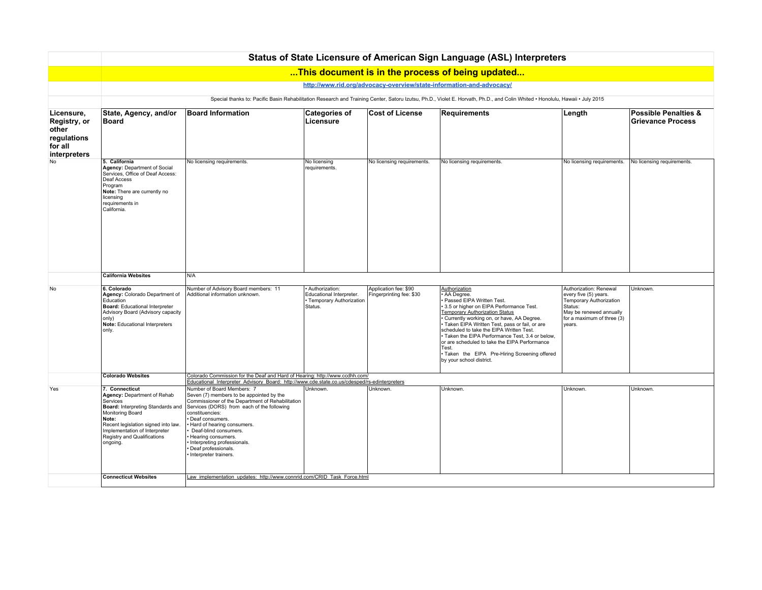|                                                                               | Status of State Licensure of American Sign Language (ASL) Interpreters                                                                                                                                                                         |                                                                                                                                                                                                                                                                                                                                                                            |                                                                                      |                                                   |                                                                                                                                                                                                                                                                                                                                                                                                                                                                                   |                                                                                                                                                          |                                                      |  |  |  |
|-------------------------------------------------------------------------------|------------------------------------------------------------------------------------------------------------------------------------------------------------------------------------------------------------------------------------------------|----------------------------------------------------------------------------------------------------------------------------------------------------------------------------------------------------------------------------------------------------------------------------------------------------------------------------------------------------------------------------|--------------------------------------------------------------------------------------|---------------------------------------------------|-----------------------------------------------------------------------------------------------------------------------------------------------------------------------------------------------------------------------------------------------------------------------------------------------------------------------------------------------------------------------------------------------------------------------------------------------------------------------------------|----------------------------------------------------------------------------------------------------------------------------------------------------------|------------------------------------------------------|--|--|--|
|                                                                               |                                                                                                                                                                                                                                                |                                                                                                                                                                                                                                                                                                                                                                            |                                                                                      |                                                   | This document is in the process of being updated                                                                                                                                                                                                                                                                                                                                                                                                                                  |                                                                                                                                                          |                                                      |  |  |  |
|                                                                               | http://www.rid.org/advocacy-overview/state-information-and-advocacy/                                                                                                                                                                           |                                                                                                                                                                                                                                                                                                                                                                            |                                                                                      |                                                   |                                                                                                                                                                                                                                                                                                                                                                                                                                                                                   |                                                                                                                                                          |                                                      |  |  |  |
|                                                                               | Special thanks to: Pacific Basin Rehabilitation Research and Training Center, Satoru Izutsu, Ph.D., Violet E. Horvath, Ph.D., and Colin Whited · Honolulu, Hawaii · July 2015                                                                  |                                                                                                                                                                                                                                                                                                                                                                            |                                                                                      |                                                   |                                                                                                                                                                                                                                                                                                                                                                                                                                                                                   |                                                                                                                                                          |                                                      |  |  |  |
| Licensure.<br>Registry, or<br>other<br>regulations<br>for all<br>interpreters | State, Agency, and/or<br>Board                                                                                                                                                                                                                 | <b>Board Information</b>                                                                                                                                                                                                                                                                                                                                                   | <b>Categories of</b><br>Licensure                                                    | <b>Cost of License</b>                            | Requirements                                                                                                                                                                                                                                                                                                                                                                                                                                                                      | Length                                                                                                                                                   | <b>Possible Penalties &amp;</b><br>Grievance Process |  |  |  |
| No                                                                            | 5. California<br>Agency: Department of Social<br>Services, Office of Deaf Access:<br>Deaf Access<br>Program<br>Note: There are currently no<br>licensing<br>requirements in<br>California                                                      | No licensing requirements.                                                                                                                                                                                                                                                                                                                                                 | No licensing<br>requirements.                                                        | No licensing requirements.                        | No licensing requirements.                                                                                                                                                                                                                                                                                                                                                                                                                                                        | No licensing requirements.                                                                                                                               | No licensing requirements.                           |  |  |  |
|                                                                               | <b>California Websites</b>                                                                                                                                                                                                                     | N/A                                                                                                                                                                                                                                                                                                                                                                        |                                                                                      |                                                   |                                                                                                                                                                                                                                                                                                                                                                                                                                                                                   |                                                                                                                                                          |                                                      |  |  |  |
| No                                                                            | 6. Colorado<br>Agency: Colorado Department of<br>Education<br><b>Board:</b> Educational Interpreter<br>Advisory Board (Advisory capacity<br>only)<br>Note: Educational Interpreters<br>only.                                                   | Number of Advisory Board members: 11<br>Additional information unknown.                                                                                                                                                                                                                                                                                                    | · Authorization:<br>Educational Interpreter.<br>· Temporary Authorization<br>Status. | Application fee: \$90<br>Fingerprinting fee: \$30 | Authorization<br>AA Degree.<br>Passed EIPA Written Test.<br>3.5 or higher on EIPA Performance Test.<br><b>Temporary Authorization Status</b><br>Currently working on, or have, AA Degree.<br>Taken EIPA Written Test, pass or fail, or are<br>scheduled to take the EIPA Written Test.<br>· Taken the EIPA Performance Test, 3.4 or below,<br>or are scheduled to take the EIPA Performance<br>Test.<br>· Taken the EIPA Pre-Hiring Screening offered<br>by your school district. | Authorization: Renewal<br>every five (5) years.<br>Temporary Authorization<br>Status:<br>May be renewed annually<br>for a maximum of three (3)<br>vears. | Unknown.                                             |  |  |  |
|                                                                               | Colorado Websites                                                                                                                                                                                                                              | Colorado Commission for the Deaf and Hard of Hearing: http://www.ccdhh.com/<br>Educational Interpreter Advisory Board: http://www.cde.state.co.us/cdesped/rs-edinterpreters                                                                                                                                                                                                |                                                                                      |                                                   |                                                                                                                                                                                                                                                                                                                                                                                                                                                                                   |                                                                                                                                                          |                                                      |  |  |  |
| Yes                                                                           | 7. Connecticut<br>Agency: Department of Rehab<br>Services<br>Board: Interpreting Standards and<br>Monitoring Board<br>Note:<br>Recent legislation signed into law.<br>Implementation of Interpreter<br>Registry and Qualifications<br>ongoing. | Number of Board Members: 7<br>Seven (7) members to be appointed by the<br>Commissioner of the Department of Rehabilitation<br>Services (DORS) from each of the following<br>constituencies:<br>Deaf consumers.<br>Hard of hearing consumers.<br>Deaf-blind consumers.<br>Hearing consumers.<br>Interpreting professionals.<br>Deaf professionals.<br>Interpreter trainers. | Unknown.                                                                             | Unknown.                                          | Unknown.                                                                                                                                                                                                                                                                                                                                                                                                                                                                          | Unknown.                                                                                                                                                 | Unknown.                                             |  |  |  |
|                                                                               | <b>Connecticut Websites</b>                                                                                                                                                                                                                    | Law implementation updates: http://www.connrid.com/CRID Task Force.html                                                                                                                                                                                                                                                                                                    |                                                                                      |                                                   |                                                                                                                                                                                                                                                                                                                                                                                                                                                                                   |                                                                                                                                                          |                                                      |  |  |  |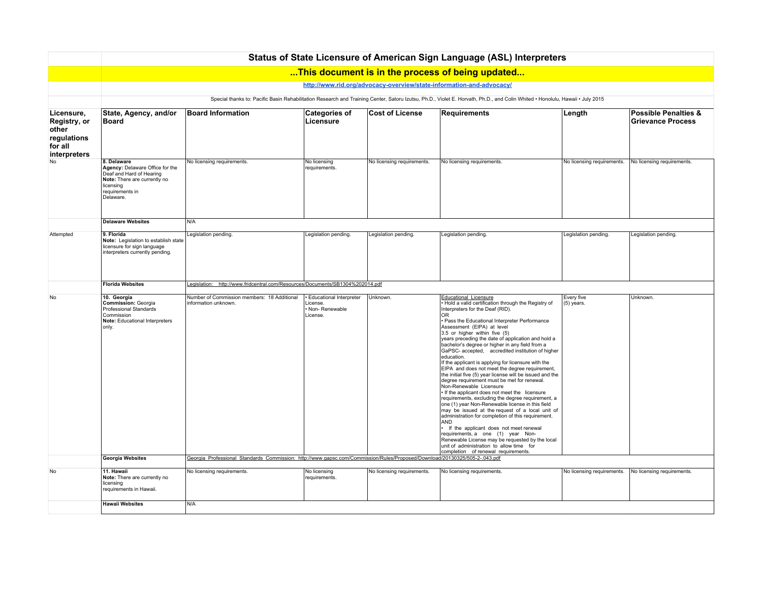|                                                                               | Status of State Licensure of American Sign Language (ASL) Interpreters                                                                                                        |                                                                                                                            |                                                                      |                            |                                                                                                                                                                                                                                                                                                                                                                                                                                                                                                                                                                                                                                                                                                                                                                                                                                                                                                                                                                                                                                                                                                                                                                              |                            |                                                      |  |  |  |
|-------------------------------------------------------------------------------|-------------------------------------------------------------------------------------------------------------------------------------------------------------------------------|----------------------------------------------------------------------------------------------------------------------------|----------------------------------------------------------------------|----------------------------|------------------------------------------------------------------------------------------------------------------------------------------------------------------------------------------------------------------------------------------------------------------------------------------------------------------------------------------------------------------------------------------------------------------------------------------------------------------------------------------------------------------------------------------------------------------------------------------------------------------------------------------------------------------------------------------------------------------------------------------------------------------------------------------------------------------------------------------------------------------------------------------------------------------------------------------------------------------------------------------------------------------------------------------------------------------------------------------------------------------------------------------------------------------------------|----------------------------|------------------------------------------------------|--|--|--|
|                                                                               |                                                                                                                                                                               |                                                                                                                            |                                                                      |                            | This document is in the process of being updated                                                                                                                                                                                                                                                                                                                                                                                                                                                                                                                                                                                                                                                                                                                                                                                                                                                                                                                                                                                                                                                                                                                             |                            |                                                      |  |  |  |
|                                                                               |                                                                                                                                                                               |                                                                                                                            |                                                                      |                            | http://www.rid.org/advocacy-overview/state-information-and-advocacy/                                                                                                                                                                                                                                                                                                                                                                                                                                                                                                                                                                                                                                                                                                                                                                                                                                                                                                                                                                                                                                                                                                         |                            |                                                      |  |  |  |
|                                                                               | Special thanks to: Pacific Basin Rehabilitation Research and Training Center, Satoru Izutsu, Ph.D., Violet E. Horvath, Ph.D., and Colin Whited . Honolulu, Hawaii . July 2015 |                                                                                                                            |                                                                      |                            |                                                                                                                                                                                                                                                                                                                                                                                                                                                                                                                                                                                                                                                                                                                                                                                                                                                                                                                                                                                                                                                                                                                                                                              |                            |                                                      |  |  |  |
| Licensure,<br>Registry, or<br>other<br>regulations<br>for all<br>interpreters | State, Agency, and/or<br><b>Board</b>                                                                                                                                         | <b>Board Information</b>                                                                                                   | <b>Categories of</b><br>Licensure                                    | <b>Cost of License</b>     | <b>Requirements</b>                                                                                                                                                                                                                                                                                                                                                                                                                                                                                                                                                                                                                                                                                                                                                                                                                                                                                                                                                                                                                                                                                                                                                          | Length                     | <b>Possible Penalties &amp;</b><br>Grievance Process |  |  |  |
| No                                                                            | 8. Delaware<br>Agency: Delaware Office for the<br>Deaf and Hard of Hearing<br>Note: There are currently no<br>licensing<br>requirements in<br>Delaware.                       | No licensing requirements.                                                                                                 | No licensing<br>requirements.                                        | No licensing requirements. | No licensing requirements.                                                                                                                                                                                                                                                                                                                                                                                                                                                                                                                                                                                                                                                                                                                                                                                                                                                                                                                                                                                                                                                                                                                                                   | No licensing requirements. | No licensing requirements.                           |  |  |  |
|                                                                               | <b>Delaware Websites</b>                                                                                                                                                      | N/A                                                                                                                        |                                                                      |                            |                                                                                                                                                                                                                                                                                                                                                                                                                                                                                                                                                                                                                                                                                                                                                                                                                                                                                                                                                                                                                                                                                                                                                                              |                            |                                                      |  |  |  |
| Attempted                                                                     | 9. Florida<br>Note: Legislation to establish state<br>licensure for sign language<br>interpreters currently pending.                                                          | Legislation pending.                                                                                                       | Legislation pending.                                                 | Legislation pending.       | Legislation pending.                                                                                                                                                                                                                                                                                                                                                                                                                                                                                                                                                                                                                                                                                                                                                                                                                                                                                                                                                                                                                                                                                                                                                         | Legislation pending.       | Legislation pending.                                 |  |  |  |
|                                                                               | <b>Florida Websites</b>                                                                                                                                                       | Legislation: http://www.fridcentral.com/Resources/Documents/SB1304%202014.pdf                                              |                                                                      |                            |                                                                                                                                                                                                                                                                                                                                                                                                                                                                                                                                                                                                                                                                                                                                                                                                                                                                                                                                                                                                                                                                                                                                                                              |                            |                                                      |  |  |  |
| No                                                                            | 10. Georgia<br>Commission: Georgia<br>Professional Standards<br>Commission<br>Note: Educational Interpreters<br>only.                                                         | Number of Commission members: 18 Additional<br>information unknown.                                                        | · Educational Interpreter<br>License.<br>· Non-Renewable<br>License. | Unknown                    | <b>Educational Licensure</b><br>. Hold a valid certification through the Registry of<br>Interpreters for the Deaf (RID).<br>OR<br>• Pass the Educational Interpreter Performance<br>Assessment (EIPA) at level<br>3.5 or higher within five (5)<br>years preceding the date of application and hold a<br>bachelor's degree or higher in any field from a<br>GaPSC- accepted, accredited institution of higher<br>education.<br>If the applicant is applying for licensure with the<br>EIPA and does not meet the degree requirement,<br>the initial five (5) year license will be issued and the<br>degree requirement must be met for renewal.<br>Non-Renewable Licensure<br>• If the applicant does not meet the licensure<br>requirements, excluding the degree requirement, a<br>one (1) year Non-Renewable license in this field<br>may be issued at the request of a local unit of<br>administration for completion of this requirement.<br>AND<br>• If the applicant does not meet renewal<br>requirements, a one (1) year Non-<br>Renewable License may be requested by the local<br>unit of administration to allow time for<br>completion of renewal requirements. | Every five<br>(5) years.   | Unknown.                                             |  |  |  |
|                                                                               | <b>Georgia Websites</b>                                                                                                                                                       | Georgia Professional Standards Commission: http://www.gapsc.com/Commission/Rules/Proposed/Download/20130325/505-2-.043.pdf |                                                                      |                            |                                                                                                                                                                                                                                                                                                                                                                                                                                                                                                                                                                                                                                                                                                                                                                                                                                                                                                                                                                                                                                                                                                                                                                              |                            |                                                      |  |  |  |
| No                                                                            | 11. Hawaii<br>Note: There are currently no<br>licensing<br>requirements in Hawaii.                                                                                            | No licensing requirements.                                                                                                 | No licensing<br>requirements.                                        | No licensing requirements. | No licensing requirements.                                                                                                                                                                                                                                                                                                                                                                                                                                                                                                                                                                                                                                                                                                                                                                                                                                                                                                                                                                                                                                                                                                                                                   | No licensing requirements. | No licensing requirements.                           |  |  |  |
|                                                                               | <b>Hawaii Websites</b>                                                                                                                                                        | N/A                                                                                                                        |                                                                      |                            |                                                                                                                                                                                                                                                                                                                                                                                                                                                                                                                                                                                                                                                                                                                                                                                                                                                                                                                                                                                                                                                                                                                                                                              |                            |                                                      |  |  |  |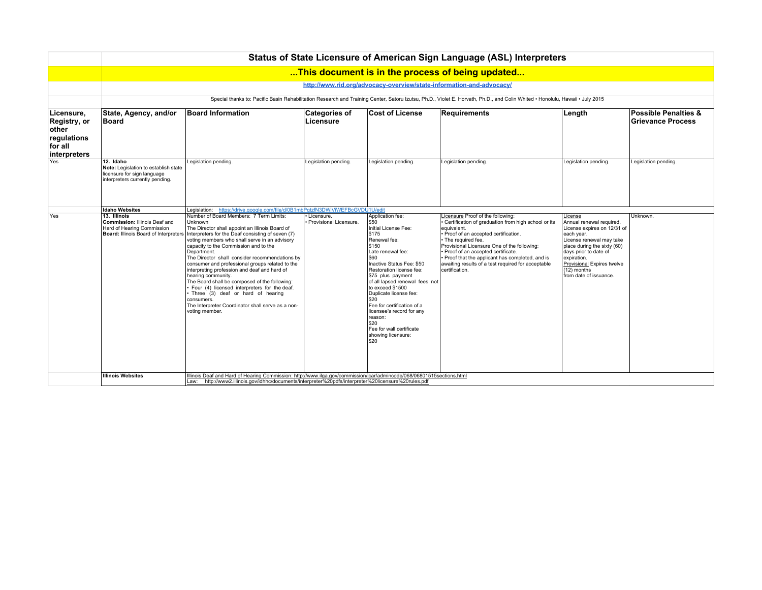|                                                                               | Status of State Licensure of American Sign Language (ASL) Interpreters                                              |                                                                                                                                                                                                                                                                                                                                                                                                                                                                                                                                                                                                                                         |                            |                                                                                                                                                                                                                                                                                                                                                                                                           |                                                                                                                                                                                                                                                                                                                                                      |                                                                                                                                                                                                                                                 |                                                             |  |  |  |  |  |
|-------------------------------------------------------------------------------|---------------------------------------------------------------------------------------------------------------------|-----------------------------------------------------------------------------------------------------------------------------------------------------------------------------------------------------------------------------------------------------------------------------------------------------------------------------------------------------------------------------------------------------------------------------------------------------------------------------------------------------------------------------------------------------------------------------------------------------------------------------------------|----------------------------|-----------------------------------------------------------------------------------------------------------------------------------------------------------------------------------------------------------------------------------------------------------------------------------------------------------------------------------------------------------------------------------------------------------|------------------------------------------------------------------------------------------------------------------------------------------------------------------------------------------------------------------------------------------------------------------------------------------------------------------------------------------------------|-------------------------------------------------------------------------------------------------------------------------------------------------------------------------------------------------------------------------------------------------|-------------------------------------------------------------|--|--|--|--|--|
|                                                                               | This document is in the process of being updated                                                                    |                                                                                                                                                                                                                                                                                                                                                                                                                                                                                                                                                                                                                                         |                            |                                                                                                                                                                                                                                                                                                                                                                                                           |                                                                                                                                                                                                                                                                                                                                                      |                                                                                                                                                                                                                                                 |                                                             |  |  |  |  |  |
|                                                                               | http://www.rid.org/advocacy-overview/state-information-and-advocacy/                                                |                                                                                                                                                                                                                                                                                                                                                                                                                                                                                                                                                                                                                                         |                            |                                                                                                                                                                                                                                                                                                                                                                                                           |                                                                                                                                                                                                                                                                                                                                                      |                                                                                                                                                                                                                                                 |                                                             |  |  |  |  |  |
|                                                                               |                                                                                                                     |                                                                                                                                                                                                                                                                                                                                                                                                                                                                                                                                                                                                                                         |                            |                                                                                                                                                                                                                                                                                                                                                                                                           | Special thanks to: Pacific Basin Rehabilitation Research and Training Center, Satoru Izutsu, Ph.D., Violet E. Horvath, Ph.D., and Colin Whited . Honolulu, Hawaii . July 2015                                                                                                                                                                        |                                                                                                                                                                                                                                                 |                                                             |  |  |  |  |  |
| Licensure,<br>Registry, or<br>other<br>regulations<br>for all<br>interpreters | State, Agency, and/or<br><b>Board</b>                                                                               | <b>Board Information</b>                                                                                                                                                                                                                                                                                                                                                                                                                                                                                                                                                                                                                | Categories of<br>Licensure | <b>Cost of License</b>                                                                                                                                                                                                                                                                                                                                                                                    | Requirements                                                                                                                                                                                                                                                                                                                                         | ∣Length                                                                                                                                                                                                                                         | <b>Possible Penalties &amp;</b><br><b>Grievance Process</b> |  |  |  |  |  |
| Yes                                                                           | 12. Idaho<br>Note: Legislation to establish state<br>licensure for sign language<br>interpreters currently pending. | Legislation pending.                                                                                                                                                                                                                                                                                                                                                                                                                                                                                                                                                                                                                    | Legislation pending.       | Legislation pending.                                                                                                                                                                                                                                                                                                                                                                                      | Legislation pending.                                                                                                                                                                                                                                                                                                                                 | Legislation pending.                                                                                                                                                                                                                            | Legislation pending.                                        |  |  |  |  |  |
| Yes                                                                           | <b>Idaho Websites</b><br>13. Illinois                                                                               | Legislation: https://drive.google.com/file/d/0B1mbPgtzfN3DWjViWEFBcGVDU1U/edit<br>Number of Board Members: 7 Term Limits:                                                                                                                                                                                                                                                                                                                                                                                                                                                                                                               | · Licensure.               | Application fee:                                                                                                                                                                                                                                                                                                                                                                                          | Licensure Proof of the following:                                                                                                                                                                                                                                                                                                                    | License                                                                                                                                                                                                                                         | Unknown.                                                    |  |  |  |  |  |
|                                                                               | <b>Commission: Illinois Deaf and</b><br>Hard of Hearing Commission<br>Board: Illinois Board of Interpreters         | <b>Unknown</b><br>The Director shall appoint an Illinois Board of<br>Interpreters for the Deaf consisting of seven (7)<br>voting members who shall serve in an advisory<br>capacity to the Commission and to the<br>Department.<br>The Director shall consider recommendations by<br>consumer and professional groups related to the<br>interpreting profession and deaf and hard of<br>hearing community.<br>The Board shall be composed of the following:<br>· Four (4) licensed interpreters for the deaf.<br>Three (3) deaf or hard of hearing<br>consumers.<br>The Interpreter Coordinator shall serve as a non-<br>voting member. | Provisional Licensure.     | \$50<br>Initial License Fee:<br>\$175<br>Renewal fee:<br>\$150<br>Late renewal fee:<br>\$60<br>Inactive Status Fee: \$50<br>Restoration license fee:<br>\$75 plus payment<br>of all lapsed renewal fees not<br>to exceed \$1500<br>Duplicate license fee:<br>\$20<br>Fee for certification of a<br>licensee's record for any<br>reason:<br>\$20<br>Fee for wall certificate<br>showing licensure:<br>\$20 | · Certification of graduation from high school or its<br>equivalent.<br>· Proof of an accepted certification.<br>• The required fee.<br>Provisional Licensure One of the following:<br>Proof of an accepted certificate.<br>· Proof that the applicant has completed, and is<br>awaiting results of a test required for acceptable<br>certification. | Annual renewal required.<br>License expires on 12/31 of<br>each year.<br>License renewal may take<br>place during the sixty (60)<br>days prior to date of<br>expiration.<br>Provisional Expires twelve<br>(12) months<br>from date of issuance. |                                                             |  |  |  |  |  |
|                                                                               | <b>Illinois Websites</b>                                                                                            | Illinois Deaf and Hard of Hearing Commission: http://www.ilga.gov/commission/jcar/admincode/068/06801515sections.html<br>Law: http://www2.illinois.gov/idhhc/documents/interpreter%20pdfs/interpreter%20licensure%20rules.pdf                                                                                                                                                                                                                                                                                                                                                                                                           |                            |                                                                                                                                                                                                                                                                                                                                                                                                           |                                                                                                                                                                                                                                                                                                                                                      |                                                                                                                                                                                                                                                 |                                                             |  |  |  |  |  |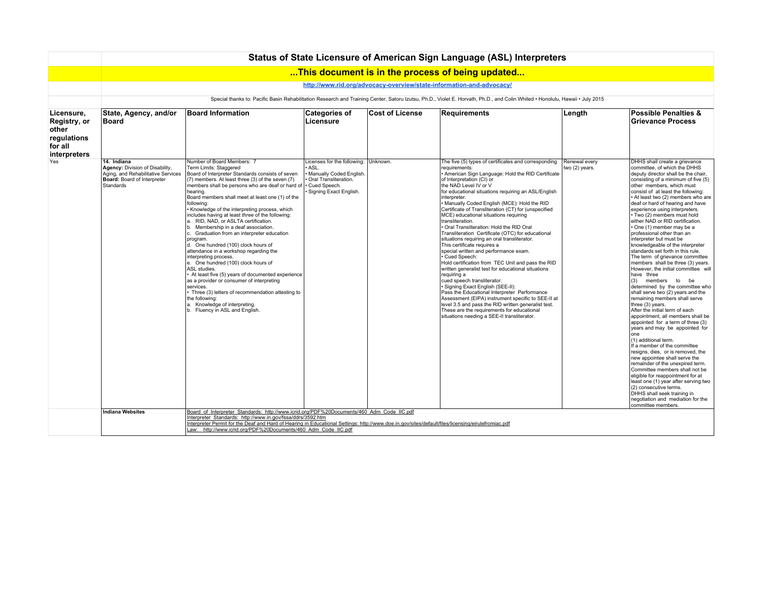|                                                                                      | Status of State Licensure of American Sign Language (ASL) Interpreters                                                                                                        |                                                                                                                                                                                                                                                                                                                                                                                                                                                                                                                                                                                                                                                                                                                                                                                                                                                                                                                                                                                        |                                                                                                                            |                        |                                                                                                                                                                                                                                                                                                                                                                                                                                                                                                                                                                                                                                                                                                                                                                                                                                                                                                                                                                                                                                                                                                                                   |                                 |                                                                                                                                                                                                                                                                                                                                                                                                                                                                                                                                                                                                                                                                                                                                                                                                                                                                                                                                                                                                                                                                                                                                                                                                                                                                                                                                                                                                      |  |  |  |  |  |
|--------------------------------------------------------------------------------------|-------------------------------------------------------------------------------------------------------------------------------------------------------------------------------|----------------------------------------------------------------------------------------------------------------------------------------------------------------------------------------------------------------------------------------------------------------------------------------------------------------------------------------------------------------------------------------------------------------------------------------------------------------------------------------------------------------------------------------------------------------------------------------------------------------------------------------------------------------------------------------------------------------------------------------------------------------------------------------------------------------------------------------------------------------------------------------------------------------------------------------------------------------------------------------|----------------------------------------------------------------------------------------------------------------------------|------------------------|-----------------------------------------------------------------------------------------------------------------------------------------------------------------------------------------------------------------------------------------------------------------------------------------------------------------------------------------------------------------------------------------------------------------------------------------------------------------------------------------------------------------------------------------------------------------------------------------------------------------------------------------------------------------------------------------------------------------------------------------------------------------------------------------------------------------------------------------------------------------------------------------------------------------------------------------------------------------------------------------------------------------------------------------------------------------------------------------------------------------------------------|---------------------------------|------------------------------------------------------------------------------------------------------------------------------------------------------------------------------------------------------------------------------------------------------------------------------------------------------------------------------------------------------------------------------------------------------------------------------------------------------------------------------------------------------------------------------------------------------------------------------------------------------------------------------------------------------------------------------------------------------------------------------------------------------------------------------------------------------------------------------------------------------------------------------------------------------------------------------------------------------------------------------------------------------------------------------------------------------------------------------------------------------------------------------------------------------------------------------------------------------------------------------------------------------------------------------------------------------------------------------------------------------------------------------------------------------|--|--|--|--|--|
|                                                                                      |                                                                                                                                                                               |                                                                                                                                                                                                                                                                                                                                                                                                                                                                                                                                                                                                                                                                                                                                                                                                                                                                                                                                                                                        |                                                                                                                            |                        | This document is in the process of being updated                                                                                                                                                                                                                                                                                                                                                                                                                                                                                                                                                                                                                                                                                                                                                                                                                                                                                                                                                                                                                                                                                  |                                 |                                                                                                                                                                                                                                                                                                                                                                                                                                                                                                                                                                                                                                                                                                                                                                                                                                                                                                                                                                                                                                                                                                                                                                                                                                                                                                                                                                                                      |  |  |  |  |  |
|                                                                                      |                                                                                                                                                                               |                                                                                                                                                                                                                                                                                                                                                                                                                                                                                                                                                                                                                                                                                                                                                                                                                                                                                                                                                                                        |                                                                                                                            |                        | http://www.rid.org/advocacy-overview/state-information-and-advocacy/                                                                                                                                                                                                                                                                                                                                                                                                                                                                                                                                                                                                                                                                                                                                                                                                                                                                                                                                                                                                                                                              |                                 |                                                                                                                                                                                                                                                                                                                                                                                                                                                                                                                                                                                                                                                                                                                                                                                                                                                                                                                                                                                                                                                                                                                                                                                                                                                                                                                                                                                                      |  |  |  |  |  |
|                                                                                      | Special thanks to: Pacific Basin Rehabilitation Research and Training Center, Satoru Izutsu, Ph.D., Violet E. Horvath, Ph.D., and Colin Whited . Honolulu, Hawaii . July 2015 |                                                                                                                                                                                                                                                                                                                                                                                                                                                                                                                                                                                                                                                                                                                                                                                                                                                                                                                                                                                        |                                                                                                                            |                        |                                                                                                                                                                                                                                                                                                                                                                                                                                                                                                                                                                                                                                                                                                                                                                                                                                                                                                                                                                                                                                                                                                                                   |                                 |                                                                                                                                                                                                                                                                                                                                                                                                                                                                                                                                                                                                                                                                                                                                                                                                                                                                                                                                                                                                                                                                                                                                                                                                                                                                                                                                                                                                      |  |  |  |  |  |
| Licensure.<br>Registry, or<br>other<br>regulations<br>for all<br><b>interpreters</b> | State, Agency, and/or<br>Board                                                                                                                                                | <b>Board Information</b>                                                                                                                                                                                                                                                                                                                                                                                                                                                                                                                                                                                                                                                                                                                                                                                                                                                                                                                                                               | <b>Categories of</b><br>Licensure                                                                                          | <b>Cost of License</b> | Requirements                                                                                                                                                                                                                                                                                                                                                                                                                                                                                                                                                                                                                                                                                                                                                                                                                                                                                                                                                                                                                                                                                                                      | Length                          | <b>Possible Penalties &amp;</b><br><b>Grievance Process</b>                                                                                                                                                                                                                                                                                                                                                                                                                                                                                                                                                                                                                                                                                                                                                                                                                                                                                                                                                                                                                                                                                                                                                                                                                                                                                                                                          |  |  |  |  |  |
| Yes                                                                                  | 14. Indiana<br>Agency: Division of Disability,<br>Aging, and Rehabilitative Services<br>Board: Board of Interpreter<br>Standards                                              | Number of Board Members: 7<br>Term Limits: Staggered<br>Board of Interpreter Standards consists of seven<br>(7) members. At least three (3) of the seven (7)<br>members shall be persons who are deaf or hard of   • Cued Speech.<br>hearing.<br>Board members shall meet at least one (1) of the<br>following:<br>Knowledge of the interpreting process, which<br>includes having at least three of the following:<br>a. RID, NAD, or ASLTA certification.<br>b. Membership in a deaf association.<br>c. Graduation from an interpreter education<br>program.<br>d. One hundred (100) clock hours of<br>attendance in a workshop regarding the<br>interpreting process.<br>e. One hundred (100) clock hours of<br>ASL studies.<br>At least five (5) years of documented experience<br>as a provider or consumer of interpreting<br>services.<br>Three (3) letters of recommendation attesting to<br>the following:<br>a. Knowledge of interpreting.<br>b. Fluency in ASL and English. | Licenses for the following: Unknown.<br>ASL.<br>Manually Coded English.<br>Oral Transliteration.<br>Signing Exact English. |                        | The five (5) types of certificates and corresponding<br>requirements:<br>• American Sign Language: Hold the RID Certificate<br>of Interpretation (CI) or<br>the NAD Level IV or V<br>for educational situations requiring an ASL/English<br>interpreter.<br>. Manually Coded English (MCE): Hold the RID<br>Certificate of Transliteration (CT) for (unspecified<br>MCE) educational situations requiring<br>transliteration.<br>· Oral Transliteration: Hold the RID Oral<br>Transliteration Certificate (OTC) for educational<br>situations requiring an oral transliterator.<br>This certificate requires a<br>special written and performance exam.<br>• Cued Speech:<br>Hold certification from TEC Unit and pass the RID<br>written generalist test for educational situations<br>requiring a<br>cued speech transliterator.<br>· Signing Exact English (SEE-II):<br>Pass the Educational Interpreter Performance<br>Assessment (EIPA) instrument specific to SEE-II at<br>level 3.5 and pass the RID written generalist test.<br>These are the requirements for educational<br>situations needing a SEE-II transliterator. | Renewal every<br>two (2) years. | DHHS shall create a grievance<br>committee, of which the DHHS<br>deputy director shall be the chair,<br>consisting of a minimum of five (5)<br>other members, which must<br>consist of at least the following:<br>• At least two (2) members who are<br>deaf or hard of hearing and have<br>experience using interpreters.<br>· Two (2) members must hold<br>either NAD or RID certification.<br>One (1) member may be a<br>professional other than an<br>interpreter but must be<br>knowledgeable of the interpreter<br>standards set forth in this rule.<br>The term of grievance committee<br>members shall be three (3) years.<br>However, the initial committee will<br>have three<br>(3) members to be<br>determined by the committee who<br>shall serve two (2) years and the<br>remaining members shall serve<br>three (3) years.<br>After the initial term of each<br>appointment, all members shall be<br>appointed for a term of three (3)<br>years and may be appointed for<br>lone<br>(1) additional term.<br>If a member of the committee<br>resigns, dies, or is removed, the<br>new appointee shall serve the<br>remainder of the unexpired term.<br>Committee members shall not be<br>eligible for reappointment for at<br>least one (1) year after serving two<br>(2) consecutive terms.<br>DHHS shall seek training in<br>negotiation and mediation for the<br>committee members. |  |  |  |  |  |
|                                                                                      | <b>Indiana Websites</b>                                                                                                                                                       | Board of Interpreter Standards: http://www.icrid.org/PDF%20Documents/460 Adm Code IIC.pdf<br>Interpreter Standards: http://www.in.gov/fssa/ddrs/3592.htm<br>Interpreter Permit for the Deaf and Hard of Hearing in Educational Settings: http://www.doe.in.gov/sites/default/files/licensing/eirulefromiac.pdf<br>Law: http://www.icrid.org/PDF%20Documents/460 Adm Code IIC.pdf                                                                                                                                                                                                                                                                                                                                                                                                                                                                                                                                                                                                       |                                                                                                                            |                        |                                                                                                                                                                                                                                                                                                                                                                                                                                                                                                                                                                                                                                                                                                                                                                                                                                                                                                                                                                                                                                                                                                                                   |                                 |                                                                                                                                                                                                                                                                                                                                                                                                                                                                                                                                                                                                                                                                                                                                                                                                                                                                                                                                                                                                                                                                                                                                                                                                                                                                                                                                                                                                      |  |  |  |  |  |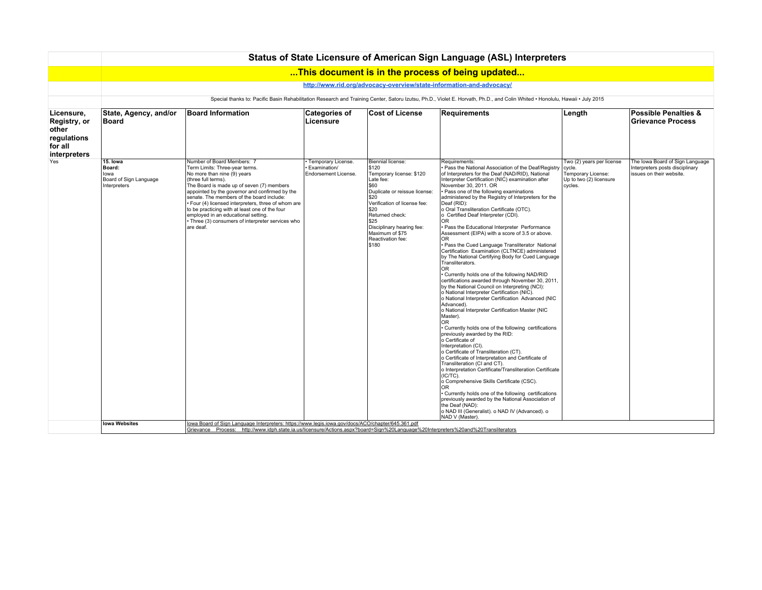|                                                                               | Status of State Licensure of American Sign Language (ASL) Interpreters                                                                                                        |                                                                                                                                                                                                                                                                                                                                                                                                                                                                                                                                                                                       |                                                              |                                                                                                                                                                                                                                                                              |                                                                                                                                                                                                                                                                                                                                                                                                                                                                                                                                                                                                                                                                                                                                                                                                                                                                                                                                                                                                                                                                                                                                                                                                                                                                                                                                                                                                                                                                                                                                                                                                                                                                                                                 |                                                                                                 |                                                                                                |  |  |  |  |  |
|-------------------------------------------------------------------------------|-------------------------------------------------------------------------------------------------------------------------------------------------------------------------------|---------------------------------------------------------------------------------------------------------------------------------------------------------------------------------------------------------------------------------------------------------------------------------------------------------------------------------------------------------------------------------------------------------------------------------------------------------------------------------------------------------------------------------------------------------------------------------------|--------------------------------------------------------------|------------------------------------------------------------------------------------------------------------------------------------------------------------------------------------------------------------------------------------------------------------------------------|-----------------------------------------------------------------------------------------------------------------------------------------------------------------------------------------------------------------------------------------------------------------------------------------------------------------------------------------------------------------------------------------------------------------------------------------------------------------------------------------------------------------------------------------------------------------------------------------------------------------------------------------------------------------------------------------------------------------------------------------------------------------------------------------------------------------------------------------------------------------------------------------------------------------------------------------------------------------------------------------------------------------------------------------------------------------------------------------------------------------------------------------------------------------------------------------------------------------------------------------------------------------------------------------------------------------------------------------------------------------------------------------------------------------------------------------------------------------------------------------------------------------------------------------------------------------------------------------------------------------------------------------------------------------------------------------------------------------|-------------------------------------------------------------------------------------------------|------------------------------------------------------------------------------------------------|--|--|--|--|--|
|                                                                               |                                                                                                                                                                               |                                                                                                                                                                                                                                                                                                                                                                                                                                                                                                                                                                                       |                                                              |                                                                                                                                                                                                                                                                              | This document is in the process of being updated                                                                                                                                                                                                                                                                                                                                                                                                                                                                                                                                                                                                                                                                                                                                                                                                                                                                                                                                                                                                                                                                                                                                                                                                                                                                                                                                                                                                                                                                                                                                                                                                                                                                |                                                                                                 |                                                                                                |  |  |  |  |  |
|                                                                               |                                                                                                                                                                               |                                                                                                                                                                                                                                                                                                                                                                                                                                                                                                                                                                                       |                                                              |                                                                                                                                                                                                                                                                              | http://www.rid.org/advocacy-overview/state-information-and-advocacy/                                                                                                                                                                                                                                                                                                                                                                                                                                                                                                                                                                                                                                                                                                                                                                                                                                                                                                                                                                                                                                                                                                                                                                                                                                                                                                                                                                                                                                                                                                                                                                                                                                            |                                                                                                 |                                                                                                |  |  |  |  |  |
|                                                                               | Special thanks to: Pacific Basin Rehabilitation Research and Training Center, Satoru Izutsu, Ph.D., Violet E. Horvath, Ph.D., and Colin Whited · Honolulu, Hawaii · July 2015 |                                                                                                                                                                                                                                                                                                                                                                                                                                                                                                                                                                                       |                                                              |                                                                                                                                                                                                                                                                              |                                                                                                                                                                                                                                                                                                                                                                                                                                                                                                                                                                                                                                                                                                                                                                                                                                                                                                                                                                                                                                                                                                                                                                                                                                                                                                                                                                                                                                                                                                                                                                                                                                                                                                                 |                                                                                                 |                                                                                                |  |  |  |  |  |
| Licensure,<br>Registry, or<br>other<br>regulations<br>for all<br>interpreters | State, Agency, and/or<br>Board                                                                                                                                                | <b>Board Information</b>                                                                                                                                                                                                                                                                                                                                                                                                                                                                                                                                                              | <b>Categories of</b><br>Licensure                            | <b>Cost of License</b>                                                                                                                                                                                                                                                       | Requirements                                                                                                                                                                                                                                                                                                                                                                                                                                                                                                                                                                                                                                                                                                                                                                                                                                                                                                                                                                                                                                                                                                                                                                                                                                                                                                                                                                                                                                                                                                                                                                                                                                                                                                    | Length                                                                                          | <b>Possible Penalties &amp;</b><br><b>Grievance Process</b>                                    |  |  |  |  |  |
| Yes                                                                           | 15. Iowa<br>Board:<br>lowa<br>Board of Sign Language<br>Interpreters<br><b>Iowa Websites</b>                                                                                  | Number of Board Members: 7<br>Term Limits: Three-year terms.<br>No more than nine (9) years<br>(three full terms).<br>The Board is made up of seven (7) members<br>appointed by the governor and confirmed by the<br>senate. The members of the board include:<br>· Four (4) licensed interpreters, three of whom are<br>to be practicing with at least one of the four<br>employed in an educational setting.<br>· Three (3) consumers of interpreter services who<br>are deaf.<br>lowa Board of Sign Language Interpreters: https://www.legis.iowa.gov/docs/ACO/chapter/645.361.pdf | · Temporary License.<br>Examination/<br>Endorsement License. | Biennial license:<br>5120<br>Temporary license: \$120<br>Late fee:<br>560<br>Duplicate or reissue license:<br>l \$20<br>Verification of license fee:<br>l \$20<br>Returned check:<br><b>S25</b><br>Disciplinary hearing fee:<br>Maximum of \$75<br>Reactivation fee:<br>5180 | Requirements:<br>Pass the National Association of the Deaf/Registry<br>of Interpreters for the Deaf (NAD/RID), National<br>Interpreter Certification (NIC) examination after<br>November 30, 2011, OR<br>· Pass one of the following examinations<br>administered by the Registry of Interpreters for the<br>Deaf (RID):<br>o Oral Transliteration Certificate (OTC).<br>o Certified Deaf Interpreter (CDI).<br>0 <sub>R</sub><br>Pass the Educational Interpreter Performance<br>Assessment (EIPA) with a score of 3.5 or above.<br><b>OR</b><br>· Pass the Cued Language Transliterator National<br>Certification Examination (CLTNCE) administered<br>by The National Certifying Body for Cued Language<br>Transliterators.<br>OR.<br>. Currently holds one of the following NAD/RID<br>certifications awarded through November 30, 2011,<br>by the National Council on Interpreting (NCI):<br>o National Interpreter Certification (NIC).<br>o National Interpreter Certification Advanced (NIC<br>Advanced).<br>o National Interpreter Certification Master (NIC<br>Master).<br><b>OR</b><br>• Currently holds one of the following certifications<br>previously awarded by the RID:<br>o Certificate of<br>Interpretation (CI).<br>o Certificate of Transliteration (CT).<br>o Certificate of Interpretation and Certificate of<br>Transliteration (CI and CT).<br>o Interpretation Certificate/Transliteration Certificate<br>$(IC/TC)$ .<br>o Comprehensive Skills Certificate (CSC).<br><b>OR</b><br>· Currently holds one of the following certifications<br>previously awarded by the National Association of<br>the Deaf (NAD):<br>o NAD III (Generalist). o NAD IV (Advanced). o<br>NAD V (Master) | Two (2) years per license<br>cycle.<br>Temporary License:<br>Up to two (2) licensure<br>cycles. | The Iowa Board of Sign Language<br>Interpreters posts disciplinary<br>issues on their website. |  |  |  |  |  |
|                                                                               |                                                                                                                                                                               | Grievance Process: http://www.idph.state.ia.us/licensure/Actions.aspx?board=Sign%20Language%20Interpreters%20and%20Transliterators                                                                                                                                                                                                                                                                                                                                                                                                                                                    |                                                              |                                                                                                                                                                                                                                                                              |                                                                                                                                                                                                                                                                                                                                                                                                                                                                                                                                                                                                                                                                                                                                                                                                                                                                                                                                                                                                                                                                                                                                                                                                                                                                                                                                                                                                                                                                                                                                                                                                                                                                                                                 |                                                                                                 |                                                                                                |  |  |  |  |  |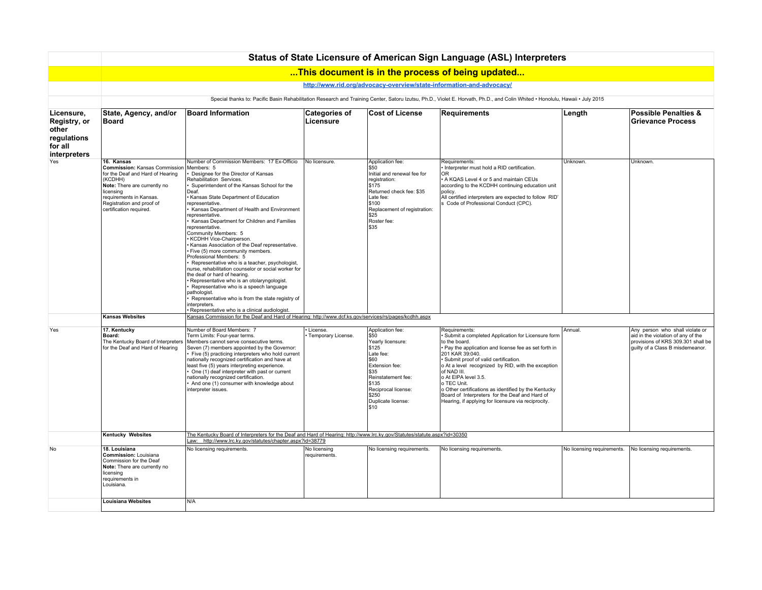|                                                                               | Status of State Licensure of American Sign Language (ASL) Interpreters                                                                                                                                                     |                                                                                                                                                                                                                                                                                                                                                                                                                                                                                                                                                                                                                                                                                                                                                                                                                                                                                                                                 |                                   |                                                                                                                                                                                                                  |                                                                                                                                                                                                                                                                                                                                                                                                                                                                                      |                            |                                                                                                                                                 |  |  |  |  |
|-------------------------------------------------------------------------------|----------------------------------------------------------------------------------------------------------------------------------------------------------------------------------------------------------------------------|---------------------------------------------------------------------------------------------------------------------------------------------------------------------------------------------------------------------------------------------------------------------------------------------------------------------------------------------------------------------------------------------------------------------------------------------------------------------------------------------------------------------------------------------------------------------------------------------------------------------------------------------------------------------------------------------------------------------------------------------------------------------------------------------------------------------------------------------------------------------------------------------------------------------------------|-----------------------------------|------------------------------------------------------------------------------------------------------------------------------------------------------------------------------------------------------------------|--------------------------------------------------------------------------------------------------------------------------------------------------------------------------------------------------------------------------------------------------------------------------------------------------------------------------------------------------------------------------------------------------------------------------------------------------------------------------------------|----------------------------|-------------------------------------------------------------------------------------------------------------------------------------------------|--|--|--|--|
|                                                                               |                                                                                                                                                                                                                            |                                                                                                                                                                                                                                                                                                                                                                                                                                                                                                                                                                                                                                                                                                                                                                                                                                                                                                                                 |                                   |                                                                                                                                                                                                                  | This document is in the process of being updated                                                                                                                                                                                                                                                                                                                                                                                                                                     |                            |                                                                                                                                                 |  |  |  |  |
|                                                                               | http://www.rid.org/advocacy-overview/state-information-and-advocacy/                                                                                                                                                       |                                                                                                                                                                                                                                                                                                                                                                                                                                                                                                                                                                                                                                                                                                                                                                                                                                                                                                                                 |                                   |                                                                                                                                                                                                                  |                                                                                                                                                                                                                                                                                                                                                                                                                                                                                      |                            |                                                                                                                                                 |  |  |  |  |
|                                                                               | Special thanks to: Pacific Basin Rehabilitation Research and Training Center, Satoru Izutsu, Ph.D., Violet E. Horvath, Ph.D., and Colin Whited . Honolulu, Hawaii . July 2015                                              |                                                                                                                                                                                                                                                                                                                                                                                                                                                                                                                                                                                                                                                                                                                                                                                                                                                                                                                                 |                                   |                                                                                                                                                                                                                  |                                                                                                                                                                                                                                                                                                                                                                                                                                                                                      |                            |                                                                                                                                                 |  |  |  |  |
| Licensure,<br>Registry, or<br>other<br>regulations<br>for all<br>interpreters | State, Agency, and/or<br><b>Board</b>                                                                                                                                                                                      | <b>Board Information</b>                                                                                                                                                                                                                                                                                                                                                                                                                                                                                                                                                                                                                                                                                                                                                                                                                                                                                                        | <b>Categories of</b><br>Licensure | <b>Cost of License</b>                                                                                                                                                                                           | <b>Requirements</b>                                                                                                                                                                                                                                                                                                                                                                                                                                                                  | Length                     | <b>Possible Penalties &amp;</b><br>Grievance Process                                                                                            |  |  |  |  |
| Yes                                                                           | 16. Kansas<br>Commission: Kansas Commission<br>for the Deaf and Hard of Hearing<br>(KCDHH)<br>Note: There are currently no<br>licensing<br>requirements in Kansas.<br>Registration and proof of<br>certification required. | Number of Commission Members: 17 Ex-Officio<br>Members: 5<br>Designee for the Director of Kansas<br>Rehabilitation Services.<br>Superintendent of the Kansas School for the<br>Deaf.<br>Kansas State Department of Education<br>representative.<br>Kansas Department of Health and Environment<br>representative.<br>Kansas Department for Children and Families<br>representative.<br>Community Members: 5<br>KCDHH Vice-Chairperson.<br>Kansas Association of the Deaf representative.<br>Five (5) more community members.<br>Professional Members: 5<br>Representative who is a teacher, psychologist,<br>nurse, rehabilitation counselor or social worker for<br>the deaf or hard of hearing.<br>Representative who is an otolaryngologist.<br>Representative who is a speech language<br>pathologist.<br>Representative who is from the state registry of<br>interpreters.<br>Representative who is a clinical audiologist | No licensure.                     | Application fee:<br>l \$50<br>Initial and renewal fee for<br>registration:<br> \$175<br>Returned check fee: \$35<br>Late fee:<br>5100<br>Replacement of registration:<br> \$25<br>Roster fee:<br><b>S</b> 35     | Requirements:<br>Interpreter must hold a RID certification.<br><b>OR</b><br>A KQAS Level 4 or 5 and maintain CEUs<br>according to the KCDHH continuing education unit<br>policy.<br>All certified interpreters are expected to follow RID'<br>s Code of Professional Conduct (CPC).                                                                                                                                                                                                  | Unknown.                   | Unknown                                                                                                                                         |  |  |  |  |
|                                                                               | <b>Kansas Websites</b>                                                                                                                                                                                                     | Kansas Commission for the Deaf and Hard of Hearing: http://www.dcf.ks.gov/services/rs/pages/kcdhh.aspx                                                                                                                                                                                                                                                                                                                                                                                                                                                                                                                                                                                                                                                                                                                                                                                                                          |                                   |                                                                                                                                                                                                                  |                                                                                                                                                                                                                                                                                                                                                                                                                                                                                      |                            |                                                                                                                                                 |  |  |  |  |
| Yes                                                                           | 17. Kentucky<br>Board:<br>The Kentucky Board of Interpreters<br>for the Deaf and Hard of Hearing                                                                                                                           | Number of Board Members: 7<br>Term Limits: Four-year terms.<br>Members cannot serve consecutive terms.<br>Seven (7) members appointed by the Governor:<br>Five (5) practicing interpreters who hold current<br>nationally recognized certification and have at<br>least five (5) years interpreting experience.<br>One (1) deaf interpreter with past or current<br>nationally recognized certification.<br>And one (1) consumer with knowledge about<br>interpreter issues.                                                                                                                                                                                                                                                                                                                                                                                                                                                    | License.<br>Temporary License.    | Application fee:<br>$ $ \$50<br>Yearly licensure:<br>\$125<br>Late fee:<br><b>S60</b><br>Extension fee:<br>  \$35<br>Reinstatement fee:<br> \$135<br>Reciprocal license:<br>\$250<br>Duplicate license:<br>l\$10 | Requirements:<br>Submit a completed Application for Licensure form<br>to the board.<br>· Pay the application and license fee as set forth in<br>201 KAR 39:040.<br>Submit proof of valid certification.<br>o At a level recognized by RID, with the exception<br>of NAD III.<br>o At EIPA level 3.5.<br>o TEC Unit.<br>o Other certifications as identified by the Kentucky<br>Board of Interpreters for the Deaf and Hard of<br>Hearing, if applying for licensure via reciprocity. | Annual.                    | Any person who shall violate or<br>aid in the violation of any of the<br>provisions of KRS 309.301 shall be<br>guilty of a Class B misdemeanor. |  |  |  |  |
|                                                                               | <b>Kentucky Websites</b>                                                                                                                                                                                                   | The Kentucky Board of Interpreters for the Deaf and Hard of Hearing: http://www.lrc.ky.gov/Statutes/statute.aspx?id=30350<br>Law: http://www.lrc.ky.gov/statutes/chapter.aspx?id=38779                                                                                                                                                                                                                                                                                                                                                                                                                                                                                                                                                                                                                                                                                                                                          |                                   |                                                                                                                                                                                                                  |                                                                                                                                                                                                                                                                                                                                                                                                                                                                                      |                            |                                                                                                                                                 |  |  |  |  |
| No                                                                            | 18. Louisiana<br>Commission: Louisiana<br>Commission for the Deaf<br>Note: There are currently no<br>licensing<br>requirements in<br>Louisiana.                                                                            | No licensing requirements.                                                                                                                                                                                                                                                                                                                                                                                                                                                                                                                                                                                                                                                                                                                                                                                                                                                                                                      | No licensing<br>requirements.     | No licensing requirements.                                                                                                                                                                                       | No licensing requirements.                                                                                                                                                                                                                                                                                                                                                                                                                                                           | No licensing requirements. | No licensing requirements.                                                                                                                      |  |  |  |  |
|                                                                               | <b>Louisiana Websites</b>                                                                                                                                                                                                  | N/A                                                                                                                                                                                                                                                                                                                                                                                                                                                                                                                                                                                                                                                                                                                                                                                                                                                                                                                             |                                   |                                                                                                                                                                                                                  |                                                                                                                                                                                                                                                                                                                                                                                                                                                                                      |                            |                                                                                                                                                 |  |  |  |  |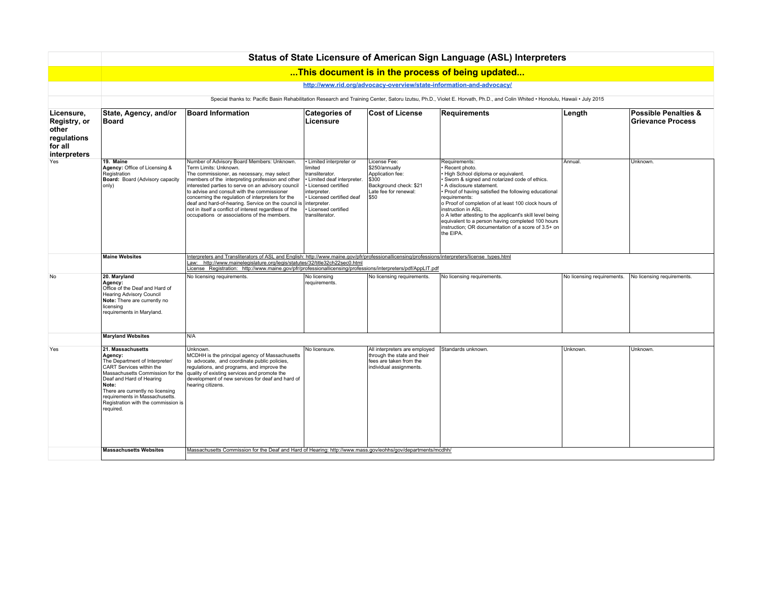|                                                                               | Status of State Licensure of American Sign Language (ASL) Interpreters                                                                                                                                                                                                                        |                                                                                                                                                                                                                                                                                                                                                                                                                                                                                                 |                                                                                                                                                                                                                                                                                                                                                |                                                                                                                        |                                                                                                                                                                                                                                                                                                                                                                                                                                                                                              |                            |                                                             |  |  |  |
|-------------------------------------------------------------------------------|-----------------------------------------------------------------------------------------------------------------------------------------------------------------------------------------------------------------------------------------------------------------------------------------------|-------------------------------------------------------------------------------------------------------------------------------------------------------------------------------------------------------------------------------------------------------------------------------------------------------------------------------------------------------------------------------------------------------------------------------------------------------------------------------------------------|------------------------------------------------------------------------------------------------------------------------------------------------------------------------------------------------------------------------------------------------------------------------------------------------------------------------------------------------|------------------------------------------------------------------------------------------------------------------------|----------------------------------------------------------------------------------------------------------------------------------------------------------------------------------------------------------------------------------------------------------------------------------------------------------------------------------------------------------------------------------------------------------------------------------------------------------------------------------------------|----------------------------|-------------------------------------------------------------|--|--|--|
|                                                                               |                                                                                                                                                                                                                                                                                               |                                                                                                                                                                                                                                                                                                                                                                                                                                                                                                 |                                                                                                                                                                                                                                                                                                                                                |                                                                                                                        | This document is in the process of being updated                                                                                                                                                                                                                                                                                                                                                                                                                                             |                            |                                                             |  |  |  |
|                                                                               |                                                                                                                                                                                                                                                                                               |                                                                                                                                                                                                                                                                                                                                                                                                                                                                                                 |                                                                                                                                                                                                                                                                                                                                                |                                                                                                                        | http://www.rid.org/advocacy-overview/state-information-and-advocacy/                                                                                                                                                                                                                                                                                                                                                                                                                         |                            |                                                             |  |  |  |
|                                                                               | Special thanks to: Pacific Basin Rehabilitation Research and Training Center, Satoru Izutsu, Ph.D., Violet E. Horvath, Ph.D., and Colin Whited . Honolulu, Hawaii . July 2015                                                                                                                 |                                                                                                                                                                                                                                                                                                                                                                                                                                                                                                 |                                                                                                                                                                                                                                                                                                                                                |                                                                                                                        |                                                                                                                                                                                                                                                                                                                                                                                                                                                                                              |                            |                                                             |  |  |  |
| Licensure,<br>Registry, or<br>other<br>regulations<br>for all<br>interpreters | State, Agency, and/or<br>Board                                                                                                                                                                                                                                                                | <b>Board Information</b>                                                                                                                                                                                                                                                                                                                                                                                                                                                                        | <b>Categories of</b><br>Licensure                                                                                                                                                                                                                                                                                                              | <b>Cost of License</b>                                                                                                 | <b>Requirements</b>                                                                                                                                                                                                                                                                                                                                                                                                                                                                          | Length                     | <b>Possible Penalties &amp;</b><br><b>Grievance Process</b> |  |  |  |
| Yes                                                                           | 19. Maine<br>Agency: Office of Licensing &<br>Registration<br><b>Board:</b> Board (Advisory capacity<br>only)                                                                                                                                                                                 | Number of Advisory Board Members: Unknown.<br>Term Limits: Unknown.<br>The commissioner, as necessary, may select<br>members of the interpreting profession and other<br>interested parties to serve on an advisory council<br>to advise and consult with the commissioner<br>concerning the regulation of interpreters for the<br>deaf and hard-of-hearing. Service on the council is<br>not in itself a conflict of interest regardless of the<br>occupations or associations of the members. | · Limited interpreter or<br>limited<br>transliterator.<br>· Limited deaf interpreter.<br>· Licensed certified<br>interpreter.<br>· Licensed certified deaf<br>interpreter.<br>· Licensed certified<br>transliterator.                                                                                                                          | License Fee:<br>\$250/annually<br>Application fee:<br>\$300<br>Background check: \$21<br>Late fee for renewal:<br>\$50 | Requirements:<br>Recent photo.<br>High School diploma or equivalent.<br>Sworn & signed and notarized code of ethics.<br>A disclosure statement.<br>Proof of having satisfied the following educational<br>requirements:<br>o Proof of completion of at least 100 clock hours of<br>instruction in ASL.<br>o A letter attesting to the applicant's skill level being<br>equivalent to a person having completed 100 hours<br>instruction: OR documentation of a score of 3.5+ on<br>the EIPA. | Annual                     | Unknown.                                                    |  |  |  |
|                                                                               | <b>Maine Websites</b>                                                                                                                                                                                                                                                                         |                                                                                                                                                                                                                                                                                                                                                                                                                                                                                                 | Interpreters and Transliterators of ASL and English: http://www.maine.gov/pfr/professionallicensing/professions/interpreters/license_types.html<br>Law: http://www.mainelegislature.org/legis/statutes/32/title32ch22sec0.html<br>License Registration: http://www.maine.gov/pfr/professionallicensing/professions/interpreters/pdf/AppLIT.pdf |                                                                                                                        |                                                                                                                                                                                                                                                                                                                                                                                                                                                                                              |                            |                                                             |  |  |  |
| N <sub>o</sub>                                                                | 20. Maryland<br>Agency:<br>Office of the Deaf and Hard of<br><b>Hearing Advisory Council</b><br>Note: There are currently no<br>licensina<br>requirements in Maryland.                                                                                                                        | No licensing requirements.                                                                                                                                                                                                                                                                                                                                                                                                                                                                      | No licensing<br>requirements.                                                                                                                                                                                                                                                                                                                  | No licensing requirements.                                                                                             | No licensing requirements.                                                                                                                                                                                                                                                                                                                                                                                                                                                                   | No licensing requirements. | No licensing requirements.                                  |  |  |  |
|                                                                               | <b>Maryland Websites</b>                                                                                                                                                                                                                                                                      | N/A                                                                                                                                                                                                                                                                                                                                                                                                                                                                                             |                                                                                                                                                                                                                                                                                                                                                |                                                                                                                        |                                                                                                                                                                                                                                                                                                                                                                                                                                                                                              |                            |                                                             |  |  |  |
| Yes                                                                           | 21. Massachusetts<br>Agency:<br>The Department of Interpreter/<br>CART Services within the<br>Massachusetts Commission for the<br>Deaf and Hard of Hearing<br>Note:<br>There are currently no licensing<br>requirements in Massachusetts.<br>Registration with the commission is<br>required. | Unknown.<br>MCDHH is the principal agency of Massachusetts<br>to advocate, and coordinate public policies,<br>regulations, and programs, and improve the<br>quality of existing services and promote the<br>development of new services for deaf and hard of<br>hearing citizens.                                                                                                                                                                                                               | No licensure.                                                                                                                                                                                                                                                                                                                                  | All interpreters are employed<br>through the state and their<br>fees are taken from the<br>individual assignments.     | Standards unknown.                                                                                                                                                                                                                                                                                                                                                                                                                                                                           | Unknown.                   | Unknown.                                                    |  |  |  |
|                                                                               | <b>Massachusetts Websites</b>                                                                                                                                                                                                                                                                 | Massachusetts Commission for the Deaf and Hard of Hearing: http://www.mass.gov/eohhs/gov/departments/mcdhh/                                                                                                                                                                                                                                                                                                                                                                                     |                                                                                                                                                                                                                                                                                                                                                |                                                                                                                        |                                                                                                                                                                                                                                                                                                                                                                                                                                                                                              |                            |                                                             |  |  |  |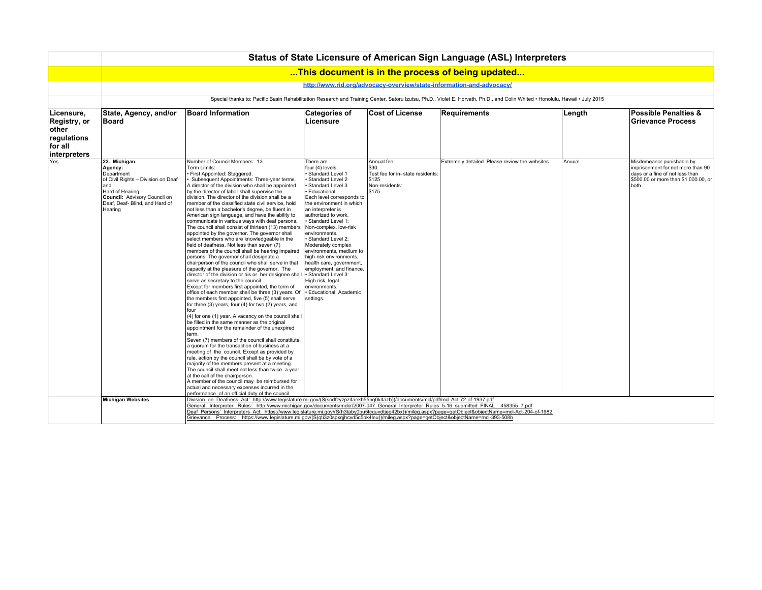|                                                                               | Status of State Licensure of American Sign Language (ASL) Interpreters                                                                                                              |                                                                                                                                                                                                                                                                                                                                                                                                                                                                                                                                                                                                                                                                                                                                                                                                                                                                                                                                                                                                                                                                                                                                                                                                                                                                                                                                                                                                                                                                                                                                                                                                                                                                                                                                                                                                                                                                                                                        |                                                                                                                                                                                                                                                                                                                                                                                                                                                                                                                                                      |                                                                                                   |                                                  |        |                                                                                                                                                    |  |  |  |  |
|-------------------------------------------------------------------------------|-------------------------------------------------------------------------------------------------------------------------------------------------------------------------------------|------------------------------------------------------------------------------------------------------------------------------------------------------------------------------------------------------------------------------------------------------------------------------------------------------------------------------------------------------------------------------------------------------------------------------------------------------------------------------------------------------------------------------------------------------------------------------------------------------------------------------------------------------------------------------------------------------------------------------------------------------------------------------------------------------------------------------------------------------------------------------------------------------------------------------------------------------------------------------------------------------------------------------------------------------------------------------------------------------------------------------------------------------------------------------------------------------------------------------------------------------------------------------------------------------------------------------------------------------------------------------------------------------------------------------------------------------------------------------------------------------------------------------------------------------------------------------------------------------------------------------------------------------------------------------------------------------------------------------------------------------------------------------------------------------------------------------------------------------------------------------------------------------------------------|------------------------------------------------------------------------------------------------------------------------------------------------------------------------------------------------------------------------------------------------------------------------------------------------------------------------------------------------------------------------------------------------------------------------------------------------------------------------------------------------------------------------------------------------------|---------------------------------------------------------------------------------------------------|--------------------------------------------------|--------|----------------------------------------------------------------------------------------------------------------------------------------------------|--|--|--|--|
|                                                                               |                                                                                                                                                                                     |                                                                                                                                                                                                                                                                                                                                                                                                                                                                                                                                                                                                                                                                                                                                                                                                                                                                                                                                                                                                                                                                                                                                                                                                                                                                                                                                                                                                                                                                                                                                                                                                                                                                                                                                                                                                                                                                                                                        |                                                                                                                                                                                                                                                                                                                                                                                                                                                                                                                                                      |                                                                                                   | This document is in the process of being updated |        |                                                                                                                                                    |  |  |  |  |
|                                                                               | http://www.rid.org/advocacy-overview/state-information-and-advocacy/                                                                                                                |                                                                                                                                                                                                                                                                                                                                                                                                                                                                                                                                                                                                                                                                                                                                                                                                                                                                                                                                                                                                                                                                                                                                                                                                                                                                                                                                                                                                                                                                                                                                                                                                                                                                                                                                                                                                                                                                                                                        |                                                                                                                                                                                                                                                                                                                                                                                                                                                                                                                                                      |                                                                                                   |                                                  |        |                                                                                                                                                    |  |  |  |  |
|                                                                               | Special thanks to: Pacific Basin Rehabilitation Research and Training Center, Satoru Izutsu, Ph.D., Violet E. Horvath, Ph.D., and Colin Whited . Honolulu, Hawaii . July 2015       |                                                                                                                                                                                                                                                                                                                                                                                                                                                                                                                                                                                                                                                                                                                                                                                                                                                                                                                                                                                                                                                                                                                                                                                                                                                                                                                                                                                                                                                                                                                                                                                                                                                                                                                                                                                                                                                                                                                        |                                                                                                                                                                                                                                                                                                                                                                                                                                                                                                                                                      |                                                                                                   |                                                  |        |                                                                                                                                                    |  |  |  |  |
| Licensure,<br>Registry, or<br>other<br>regulations<br>for all<br>interpreters | State, Agency, and/or<br><b>Board</b>                                                                                                                                               | <b>Board Information</b>                                                                                                                                                                                                                                                                                                                                                                                                                                                                                                                                                                                                                                                                                                                                                                                                                                                                                                                                                                                                                                                                                                                                                                                                                                                                                                                                                                                                                                                                                                                                                                                                                                                                                                                                                                                                                                                                                               | <b>Categories of</b><br>Licensure                                                                                                                                                                                                                                                                                                                                                                                                                                                                                                                    | <b>Cost of License</b>                                                                            | Requirements                                     | Length | <b>Possible Penalties &amp;</b><br><b>Grievance Process</b>                                                                                        |  |  |  |  |
| Yes                                                                           | 22. Michigan<br>Agency:<br>Department<br>of Civil Rights - Division on Deaf<br>land<br>Hard of Hearing<br>Council: Advisory Council on<br>Deaf, Deaf- Blind, and Hard of<br>Hearing | Number of Council Members: 13<br>Term Limits:<br>First Appointed: Staggered.<br>Subsequent Appointments: Three-vear terms.<br>A director of the division who shall be appointed<br>by the director of labor shall supervise the<br>division. The director of the division shall be a<br>member of the classified state civil service, hold<br>not less than a bachelor's degree, be fluent in<br>American sign language, and have the ability to<br>communicate in various ways with deaf persons.<br>The council shall consist of thirteen (13) members<br>appointed by the governor. The governor shall<br>select members who are knowledgeable in the<br>field of deafness. Not less than seven (7)<br>members of the council shall be hearing impaired<br>persons. The governor shall designate a<br>chairperson of the council who shall serve in that<br>capacity at the pleasure of the governor. The<br>director of the division or his or her designee shall<br>serve as secretary to the council.<br>Except for members first appointed, the term of<br>office of each member shall be three (3) years. Of<br>the members first appointed, five (5) shall serve<br>for three (3) years, four (4) for two (2) years, and<br>four<br>(4) for one (1) year. A vacancy on the council shall<br>be filled in the same manner as the original<br>appointment for the remainder of the unexpired<br>term.<br>Seven (7) members of the council shall constitute<br>a quorum for the transaction of business at a<br>meeting of the council. Except as provided by<br>rule, action by the council shall be by vote of a<br>majority of the members present at a meeting.<br>The council shall meet not less than twice a year<br>at the call of the chairperson.<br>A member of the council may be reimbursed for<br>actual and necessary expenses incurred in the<br>performance of an official duty of the council. | There are<br>four (4) levels:<br>· Standard Level 1<br>Standard Level 2<br>Standard Level 3<br><b>Educational</b><br>Each level corresponds to<br>the environment in which<br>an interpreter is<br>authorized to work.<br>· Standard Level 1:<br>Non-complex, low-risk<br>environments.<br>· Standard Level 2:<br>Moderately complex<br>environments, medium to<br>high-risk environments,<br>health care, government,<br>employment, and finance.<br>Standard Level 3:<br>High risk, legal<br>environments.<br>· Educational: Academic<br>settings. | Annual fee:<br>530<br>Test fee for in- state residents:<br>\$125<br>Non-residents:<br><b>S175</b> | Extremely detailed. Please review the websites.  | Anuual | Misdemeanor punishable by<br>imprisonment for not more than 90<br>days or a fine of not less than<br>\$500,00 or more than \$1,000,00, or<br>both. |  |  |  |  |
|                                                                               | <b>Michigan Websites</b>                                                                                                                                                            | Division on Deafness Act: http://www.legislature.mi.gov/(S(sodfzyzpz4aekh55ng0k4azb))/documents/mcl/pdf/mcl-Act-72-of-1937.pdf<br>General Interpreter Rules: http://www.michigan.gov/documents/mdcr/2007-047 General Interpreter Rules 5-16 submitted FINAL 458355 7.pdf<br>Deaf Persons' Interpreters Act: https://www.legislature.mi.gov/(S(h3taby0bu5tcquvdtjeq42bx))/mileg.aspx?page=getObject&objectName=mcl-Act-204-of-1982<br>Grievance Process: https://www.legislature.mi.gov/(S(qti3z0spxgjhcvd5c5pk4leu))/mileg.aspx?page=getObject&objectName=mcl-393-508b                                                                                                                                                                                                                                                                                                                                                                                                                                                                                                                                                                                                                                                                                                                                                                                                                                                                                                                                                                                                                                                                                                                                                                                                                                                                                                                                                 |                                                                                                                                                                                                                                                                                                                                                                                                                                                                                                                                                      |                                                                                                   |                                                  |        |                                                                                                                                                    |  |  |  |  |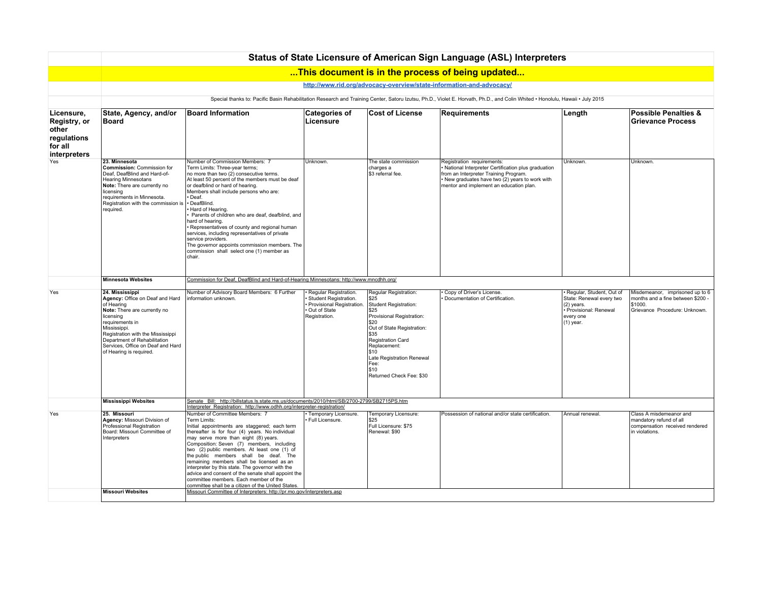|                                                                               | Status of State Licensure of American Sign Language (ASL) Interpreters                                                                                                                                                                                                                |                                                                                                                                                                                                                                                                                                                                                                                                                                                                                                                                                                                                    |                                                                                                                |                                                                                                                                                                                                                                                                 |                                                                                                                                                                                                                           |                                                                                                                            |                                                                                                                  |  |  |  |
|-------------------------------------------------------------------------------|---------------------------------------------------------------------------------------------------------------------------------------------------------------------------------------------------------------------------------------------------------------------------------------|----------------------------------------------------------------------------------------------------------------------------------------------------------------------------------------------------------------------------------------------------------------------------------------------------------------------------------------------------------------------------------------------------------------------------------------------------------------------------------------------------------------------------------------------------------------------------------------------------|----------------------------------------------------------------------------------------------------------------|-----------------------------------------------------------------------------------------------------------------------------------------------------------------------------------------------------------------------------------------------------------------|---------------------------------------------------------------------------------------------------------------------------------------------------------------------------------------------------------------------------|----------------------------------------------------------------------------------------------------------------------------|------------------------------------------------------------------------------------------------------------------|--|--|--|
|                                                                               |                                                                                                                                                                                                                                                                                       |                                                                                                                                                                                                                                                                                                                                                                                                                                                                                                                                                                                                    |                                                                                                                |                                                                                                                                                                                                                                                                 | This document is in the process of being updated                                                                                                                                                                          |                                                                                                                            |                                                                                                                  |  |  |  |
|                                                                               | http://www.rid.org/advocacy-overview/state-information-and-advocacy/                                                                                                                                                                                                                  |                                                                                                                                                                                                                                                                                                                                                                                                                                                                                                                                                                                                    |                                                                                                                |                                                                                                                                                                                                                                                                 |                                                                                                                                                                                                                           |                                                                                                                            |                                                                                                                  |  |  |  |
|                                                                               | Special thanks to: Pacific Basin Rehabilitation Research and Training Center, Satoru Izutsu, Ph.D., Violet E. Horvath, Ph.D., and Colin Whited . Honolulu, Hawaii . July 2015                                                                                                         |                                                                                                                                                                                                                                                                                                                                                                                                                                                                                                                                                                                                    |                                                                                                                |                                                                                                                                                                                                                                                                 |                                                                                                                                                                                                                           |                                                                                                                            |                                                                                                                  |  |  |  |
| Licensure,<br>Registry, or<br>other<br>regulations<br>for all<br>interpreters | State, Agency, and/or<br>Board                                                                                                                                                                                                                                                        | <b>Board Information</b>                                                                                                                                                                                                                                                                                                                                                                                                                                                                                                                                                                           | <b>Categories of</b><br>Licensure                                                                              | <b>Cost of License</b>                                                                                                                                                                                                                                          | <b>Requirements</b>                                                                                                                                                                                                       | Length                                                                                                                     | <b>Possible Penalties &amp;</b><br><b>Grievance Process</b>                                                      |  |  |  |
| Yes                                                                           | 23. Minnesota<br>Commission: Commission for<br>Deaf, DeafBlind and Hard-of-<br>Hearing Minnesotans<br>Note: There are currently no<br>licensing<br>requirements in Minnesota.<br>Registration with the commission is<br>required.                                                     | Number of Commission Members: 7<br>Term Limits: Three-year terms;<br>no more than two (2) consecutive terms.<br>At least 50 percent of the members must be deaf<br>or deafblind or hard of hearing.<br>Members shall include persons who are:<br>Deaf.<br>· DeafBlind.<br>Hard of Hearing.<br>Parents of children who are deaf, deafblind, and<br>hard of hearing.<br>Representatives of county and regional human<br>services, including representatives of private<br>service providers.<br>The governor appoints commission members. The<br>commission shall select one (1) member as<br>chair. | Unknown.                                                                                                       | The state commission<br>charges a<br>\$3 referral fee                                                                                                                                                                                                           | Registration requirements:<br>· National Interpreter Certification plus graduation<br>from an Interpreter Training Program.<br>· New graduates have two (2) years to work with<br>mentor and implement an education plan. | Unknown                                                                                                                    | Unknown.                                                                                                         |  |  |  |
|                                                                               | <b>Minnesota Websites</b>                                                                                                                                                                                                                                                             |                                                                                                                                                                                                                                                                                                                                                                                                                                                                                                                                                                                                    | Commission for Deaf, DeafBlind and Hard-of-Hearing Minnesotans: http://www.mncdhh.org/                         |                                                                                                                                                                                                                                                                 |                                                                                                                                                                                                                           |                                                                                                                            |                                                                                                                  |  |  |  |
| Yes                                                                           | 24. Mississippi<br>Agency: Office on Deaf and Hard<br>of Hearing<br>Note: There are currently no<br>licensing<br>requirements in<br>Mississippi.<br>Registration with the Mississippi<br>Department of Rehabilitation<br>Services, Office on Deaf and Hard<br>of Hearing is required. | Number of Advisory Board Members: 6 Further<br>information unknown.                                                                                                                                                                                                                                                                                                                                                                                                                                                                                                                                | · Regular Registration.<br>Student Registration.<br>Provisional Registration.<br>Out of State<br>Registration. | Regular Registration:<br>\$25<br>Student Registration:<br>\$25<br>Provisional Registration:<br>\$20<br>Out of State Registration:<br>\$35<br>Registration Card<br>Replacement:<br>\$10<br>Late Registration Renewal<br>Fee:<br>\$10<br>Returned Check Fee: \$30 | Copy of Driver's License.<br>Documentation of Certification.                                                                                                                                                              | Regular, Student, Out of<br>State: Renewal every two<br>$(2)$ years.<br>· Provisional: Renewal<br>every one<br>$(1)$ year. | Misdemeanor, imprisoned up to 6<br>months and a fine between \$200 -<br>\$1000.<br>Grievance Procedure: Unknown. |  |  |  |
|                                                                               | <b>Mississippi Websites</b>                                                                                                                                                                                                                                                           | Senate Bill: http://billstatus.ls.state.ms.us/documents/2010/html/SB/2700-2799/SB2715PS.htm<br>Interpreter Registration: http://www.odhh.org/interpreter-registration/                                                                                                                                                                                                                                                                                                                                                                                                                             |                                                                                                                |                                                                                                                                                                                                                                                                 |                                                                                                                                                                                                                           |                                                                                                                            |                                                                                                                  |  |  |  |
| Yes                                                                           | 25. Missouri<br>Agency: Missouri Division of<br>Professional Registration<br>Board: Missouri Committee of<br>Interpreters                                                                                                                                                             | Number of Committee Members: 7<br>Term Limits:<br>Initial appointments are staggered; each term<br>thereafter is for four (4) years. No individual<br>may serve more than eight (8) years.<br>Composition: Seven (7) members, including<br>two (2) public members. At least one (1) of<br>the public members shall be deaf. The<br>remaining members shall be licensed as an<br>interpreter by this state. The governor with the<br>advice and consent of the senate shall appoint the<br>committee members. Each member of the<br>committee shall be a citizen of the United States.              | · Temporary Licensure.<br>Full Licensure.                                                                      | Temporary Licensure:<br>\$25<br>Full Licensure: \$75<br>Renewal: \$90                                                                                                                                                                                           | Possession of national and/or state certification.                                                                                                                                                                        | Annual renewal.                                                                                                            | Class A misdemeanor and<br>mandatory refund of all<br>compensation received rendered<br>in violations.           |  |  |  |
|                                                                               | <b>Missouri Websites</b>                                                                                                                                                                                                                                                              | Missouri Committee of Interpreters: http://pr.mo.gov/interpreters.asp                                                                                                                                                                                                                                                                                                                                                                                                                                                                                                                              |                                                                                                                |                                                                                                                                                                                                                                                                 |                                                                                                                                                                                                                           |                                                                                                                            |                                                                                                                  |  |  |  |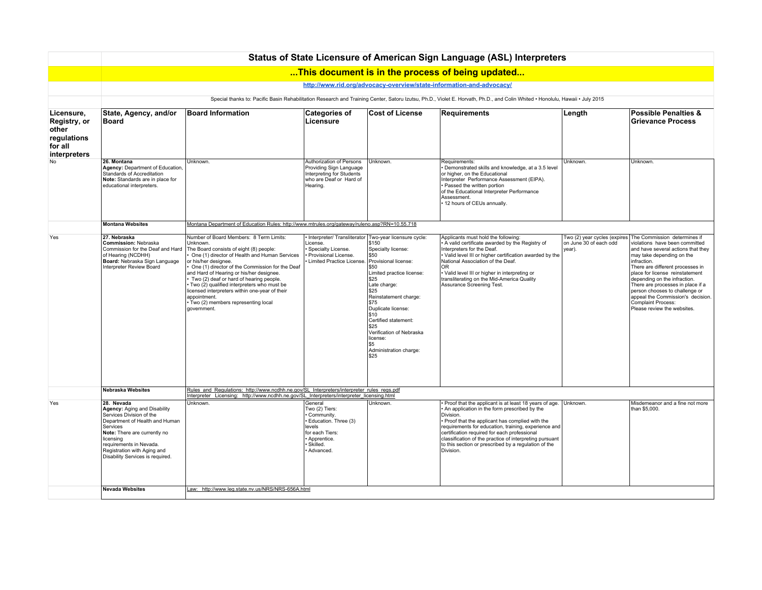|                                                                               | Status of State Licensure of American Sign Language (ASL) Interpreters                                                                                                                                                                                          |                                                                                                                                                                                                                                                                                                                                                                                                                                                                                       |                                                                                                                                      |                                                                                                                                                                                                                                                                                                                                                         |                                                                                                                                                                                                                                                                                                                                                                                                                         |                                  |                                                                                                                                                                                                                                                                                                                                                                                                                                                       |  |  |  |  |
|-------------------------------------------------------------------------------|-----------------------------------------------------------------------------------------------------------------------------------------------------------------------------------------------------------------------------------------------------------------|---------------------------------------------------------------------------------------------------------------------------------------------------------------------------------------------------------------------------------------------------------------------------------------------------------------------------------------------------------------------------------------------------------------------------------------------------------------------------------------|--------------------------------------------------------------------------------------------------------------------------------------|---------------------------------------------------------------------------------------------------------------------------------------------------------------------------------------------------------------------------------------------------------------------------------------------------------------------------------------------------------|-------------------------------------------------------------------------------------------------------------------------------------------------------------------------------------------------------------------------------------------------------------------------------------------------------------------------------------------------------------------------------------------------------------------------|----------------------------------|-------------------------------------------------------------------------------------------------------------------------------------------------------------------------------------------------------------------------------------------------------------------------------------------------------------------------------------------------------------------------------------------------------------------------------------------------------|--|--|--|--|
|                                                                               |                                                                                                                                                                                                                                                                 |                                                                                                                                                                                                                                                                                                                                                                                                                                                                                       |                                                                                                                                      |                                                                                                                                                                                                                                                                                                                                                         | This document is in the process of being updated                                                                                                                                                                                                                                                                                                                                                                        |                                  |                                                                                                                                                                                                                                                                                                                                                                                                                                                       |  |  |  |  |
|                                                                               | http://www.rid.org/advocacy-overview/state-information-and-advocacy/                                                                                                                                                                                            |                                                                                                                                                                                                                                                                                                                                                                                                                                                                                       |                                                                                                                                      |                                                                                                                                                                                                                                                                                                                                                         |                                                                                                                                                                                                                                                                                                                                                                                                                         |                                  |                                                                                                                                                                                                                                                                                                                                                                                                                                                       |  |  |  |  |
|                                                                               | Special thanks to: Pacific Basin Rehabilitation Research and Training Center, Satoru Izutsu, Ph.D., Violet E. Horvath, Ph.D., and Colin Whited · Honolulu, Hawaii · July 2015                                                                                   |                                                                                                                                                                                                                                                                                                                                                                                                                                                                                       |                                                                                                                                      |                                                                                                                                                                                                                                                                                                                                                         |                                                                                                                                                                                                                                                                                                                                                                                                                         |                                  |                                                                                                                                                                                                                                                                                                                                                                                                                                                       |  |  |  |  |
| Licensure,<br>Registry, or<br>other<br>regulations<br>for all<br>interpreters | State, Agency, and/or<br><b>Board</b>                                                                                                                                                                                                                           | <b>Board Information</b>                                                                                                                                                                                                                                                                                                                                                                                                                                                              | <b>Categories of</b><br>Licensure                                                                                                    | <b>Cost of License</b>                                                                                                                                                                                                                                                                                                                                  | <b>Requirements</b>                                                                                                                                                                                                                                                                                                                                                                                                     | Length                           | <b>Possible Penalties &amp;</b><br><b>Grievance Process</b>                                                                                                                                                                                                                                                                                                                                                                                           |  |  |  |  |
| No                                                                            | 26. Montana<br>Agency: Department of Education,<br>Standards of Accreditation<br>Note: Standards are in place for<br>educational interpreters.                                                                                                                  | Unknown.                                                                                                                                                                                                                                                                                                                                                                                                                                                                              | Authorization of Persons<br>Providing Sign Language<br>Interpreting for Students<br>who are Deaf or Hard of<br>Hearing.              | Unknown.                                                                                                                                                                                                                                                                                                                                                | Requirements:<br>· Demonstrated skills and knowledge, at a 3.5 level<br>or higher, on the Educational<br>Interpreter Performance Assessment (EIPA).<br>· Passed the written portion<br>of the Educational Interpreter Performance<br>Assessment.<br>12 hours of CEUs annually.                                                                                                                                          | Unknown.                         | Unknown.                                                                                                                                                                                                                                                                                                                                                                                                                                              |  |  |  |  |
|                                                                               | Montana Department of Education Rules: http://www.mtrules.org/gateway/ruleno.asp?RN=10.55.718<br><b>Montana Websites</b>                                                                                                                                        |                                                                                                                                                                                                                                                                                                                                                                                                                                                                                       |                                                                                                                                      |                                                                                                                                                                                                                                                                                                                                                         |                                                                                                                                                                                                                                                                                                                                                                                                                         |                                  |                                                                                                                                                                                                                                                                                                                                                                                                                                                       |  |  |  |  |
| Yes                                                                           | 27. Nebraska<br>Commission: Nebraska<br>Commission for the Deaf and Hard<br>of Hearing (NCDHH)<br>Board: Nebraska Sign Language<br>Interpreter Review Board                                                                                                     | Number of Board Members: 8 Term Limits:<br>Unknown.<br>The Board consists of eight (8) people:<br>One (1) director of Health and Human Services<br>or his/her designee.<br>One (1) director of the Commission for the Deaf<br>and Hard of Hearing or his/her designee.<br>Two (2) deaf or hard of hearing people.<br>Two (2) qualified interpreters who must be<br>licensed interpreters within one-year of their<br>appointment.<br>Two (2) members representing local<br>government | License.<br>Specialty License.<br>Provisional License.<br>Limited Practice License. Provisional license:                             | • Interpreter/ Transliterator   Two-year licensure cycle:<br>\$150<br>Specialty license:<br>\$50<br>\$50<br>Limited practice license:<br>\$25<br>Late charge:<br>\$25<br>Reinstatement charge:<br>\$75<br>Duplicate license:<br>\$10<br>Certified statement:<br>\$25<br>Verification of Nebraska<br>license:<br>l \$5<br>Administration charge:<br>\$25 | Applicants must hold the following:<br>A valid certificate awarded by the Registry of<br>Interpreters for the Deaf.<br>Valid level III or higher certification awarded by the<br>National Association of the Deaf.<br><b>OR</b><br>· Valid level III or higher in interpreting or<br>transliterating on the Mid-America Quality<br>Assurance Screening Test.                                                            | on June 30 of each odd<br>year). | Two (2) year cycles (expires The Commission determines if<br>violations have been committed<br>and have several actions that they<br>may take depending on the<br>infraction.<br>There are different processes in<br>place for license reinstatement<br>depending on the infraction.<br>There are processes in place if a<br>person chooses to challenge or<br>appeal the Commission's decision.<br>Complaint Process:<br>Please review the websites. |  |  |  |  |
|                                                                               | <b>Nebraska Websites</b>                                                                                                                                                                                                                                        | Rules and Regulations: http://www.ncdhh.ne.gov/SL_Interpreters/interpreter_rules_regs.pdf<br>Interpreter Licensing: http://www.ncdhh.ne.gov/SL_Interpreters/interpreter_licensing.html                                                                                                                                                                                                                                                                                                |                                                                                                                                      |                                                                                                                                                                                                                                                                                                                                                         |                                                                                                                                                                                                                                                                                                                                                                                                                         |                                  |                                                                                                                                                                                                                                                                                                                                                                                                                                                       |  |  |  |  |
| Yes                                                                           | 28. Nevada<br>Agency: Aging and Disability<br>Services Division of the<br>Department of Health and Human<br>Services<br>Note: There are currently no<br>licensing<br>requirements in Nevada.<br>Registration with Aging and<br>Disability Services is required. | Unknown.                                                                                                                                                                                                                                                                                                                                                                                                                                                                              | General<br>Two (2) Tiers:<br>Community.<br>Education. Three (3)<br>levels<br>for each Tiers:<br>Apprentice.<br>Skilled.<br>Advanced. | Unknown.                                                                                                                                                                                                                                                                                                                                                | Proof that the applicant is at least 18 years of age. Unknown.<br>An application in the form prescribed by the<br>Division.<br>· Proof that the applicant has complied with the<br>requirements for education, training, experience and<br>certification required for each professional<br>classification of the practice of interpreting pursuant<br>to this section or prescribed by a regulation of the<br>Division. |                                  | Misdemeanor and a fine not more<br>than \$5,000.                                                                                                                                                                                                                                                                                                                                                                                                      |  |  |  |  |
|                                                                               | <b>Nevada Websites</b>                                                                                                                                                                                                                                          | Law: http://www.leg.state.nv.us/NRS/NRS-656A.html                                                                                                                                                                                                                                                                                                                                                                                                                                     |                                                                                                                                      |                                                                                                                                                                                                                                                                                                                                                         |                                                                                                                                                                                                                                                                                                                                                                                                                         |                                  |                                                                                                                                                                                                                                                                                                                                                                                                                                                       |  |  |  |  |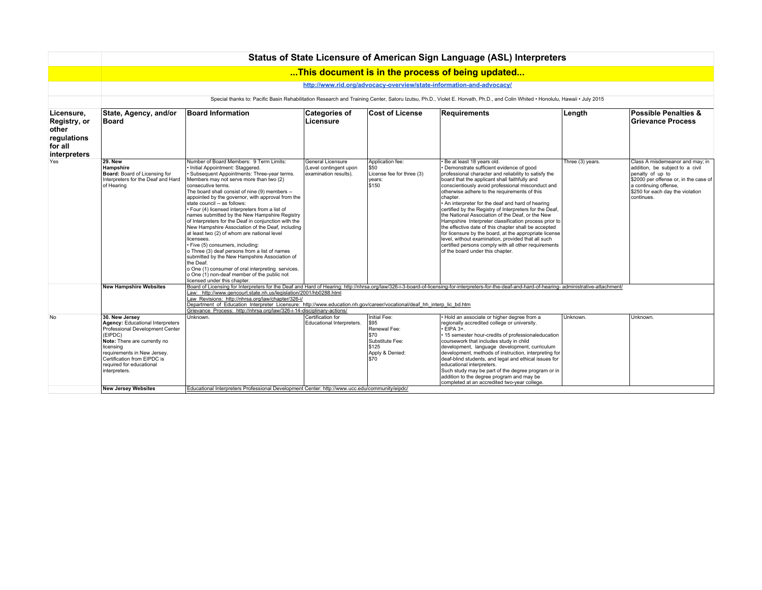|                                                                               |                                                                                                                                                                                                                                                                 |                                                                                                                                                                                                                                                                                                                                                                                                                                                                                                                                                                                                                                                                                                                                                                                                                                                                                                        |                                                                      |                                                                                                     | Status of State Licensure of American Sign Language (ASL) Interpreters                                                                                                                                                                                                                                                                                                                                                                                                                                                                                                                                                                                                                                                                                                                           |                  |                                                                                                                                                                                                            |
|-------------------------------------------------------------------------------|-----------------------------------------------------------------------------------------------------------------------------------------------------------------------------------------------------------------------------------------------------------------|--------------------------------------------------------------------------------------------------------------------------------------------------------------------------------------------------------------------------------------------------------------------------------------------------------------------------------------------------------------------------------------------------------------------------------------------------------------------------------------------------------------------------------------------------------------------------------------------------------------------------------------------------------------------------------------------------------------------------------------------------------------------------------------------------------------------------------------------------------------------------------------------------------|----------------------------------------------------------------------|-----------------------------------------------------------------------------------------------------|--------------------------------------------------------------------------------------------------------------------------------------------------------------------------------------------------------------------------------------------------------------------------------------------------------------------------------------------------------------------------------------------------------------------------------------------------------------------------------------------------------------------------------------------------------------------------------------------------------------------------------------------------------------------------------------------------------------------------------------------------------------------------------------------------|------------------|------------------------------------------------------------------------------------------------------------------------------------------------------------------------------------------------------------|
|                                                                               |                                                                                                                                                                                                                                                                 |                                                                                                                                                                                                                                                                                                                                                                                                                                                                                                                                                                                                                                                                                                                                                                                                                                                                                                        |                                                                      |                                                                                                     | This document is in the process of being updated                                                                                                                                                                                                                                                                                                                                                                                                                                                                                                                                                                                                                                                                                                                                                 |                  |                                                                                                                                                                                                            |
|                                                                               |                                                                                                                                                                                                                                                                 |                                                                                                                                                                                                                                                                                                                                                                                                                                                                                                                                                                                                                                                                                                                                                                                                                                                                                                        |                                                                      |                                                                                                     | http://www.rid.org/advocacy-overview/state-information-and-advocacy/                                                                                                                                                                                                                                                                                                                                                                                                                                                                                                                                                                                                                                                                                                                             |                  |                                                                                                                                                                                                            |
|                                                                               |                                                                                                                                                                                                                                                                 |                                                                                                                                                                                                                                                                                                                                                                                                                                                                                                                                                                                                                                                                                                                                                                                                                                                                                                        |                                                                      |                                                                                                     | Special thanks to: Pacific Basin Rehabilitation Research and Training Center, Satoru Izutsu, Ph.D., Violet E. Horvath, Ph.D., and Colin Whited . Honolulu, Hawaii . July 2015                                                                                                                                                                                                                                                                                                                                                                                                                                                                                                                                                                                                                    |                  |                                                                                                                                                                                                            |
| Licensure,<br>Registry, or<br>other<br>regulations<br>for all<br>interpreters | State, Agency, and/or<br><b>Board</b>                                                                                                                                                                                                                           | <b>Board Information</b>                                                                                                                                                                                                                                                                                                                                                                                                                                                                                                                                                                                                                                                                                                                                                                                                                                                                               | <b>Categories of</b><br>Licensure                                    | <b>Cost of License</b>                                                                              | Requirements                                                                                                                                                                                                                                                                                                                                                                                                                                                                                                                                                                                                                                                                                                                                                                                     | Length           | <b>Possible Penalties &amp;</b><br>Grievance Process                                                                                                                                                       |
| Yes                                                                           | <b>29. New</b><br>Hampshire<br>Board: Board of Licensing for<br>Interpreters for the Deaf and Hard<br>of Hearing                                                                                                                                                | Number of Board Members: 9 Term Limits:<br>· Initial Appointment: Staggered.<br>Subsequent Appointments: Three-year terms.<br>Members may not serve more than two (2)<br>consecutive terms.<br>The board shall consist of nine (9) members --<br>appointed by the governor, with approval from the<br>state council -- as follows:<br>· Four (4) licensed interpreters from a list of<br>names submitted by the New Hampshire Registry<br>of Interpreters for the Deaf in conjunction with the<br>New Hampshire Association of the Deaf, including<br>at least two (2) of whom are national level<br>licensees.<br>· Five (5) consumers, including:<br>o Three (3) deaf persons from a list of names<br>submitted by the New Hampshire Association of<br>the Deaf.<br>o One (1) consumer of oral interpreting services.<br>o One (1) non-deaf member of the public not<br>licensed under this chapter. | General Licensure<br>(Level contingent upon<br>examination results). | Application fee:<br>\$50<br>License fee for three (3)<br>years:<br>\$150                            | Be at least 18 years old.<br>Demonstrate sufficient evidence of good<br>professional character and reliability to satisfy the<br>board that the applicant shall faithfully and<br>conscientiously avoid professional misconduct and<br>otherwise adhere to the requirements of this<br>chapter.<br>. An interpreter for the deaf and hard of hearing<br>certified by the Registry of Interpreters for the Deaf,<br>the National Association of the Deaf, or the New<br>Hampshire Interpreter classification process prior to<br>the effective date of this chapter shall be accepted<br>for licensure by the board, at the appropriate license<br>level, without examination, provided that all such<br>certified persons comply with all other requirements<br>of the board under this chapter. | Three (3) years. | Class A misdemeanor and may; in<br>addition, be subject to a civil<br>penalty of up to<br>\$2000 per offense or, in the case of<br>a continuing offense,<br>\$250 for each day the violation<br>continues. |
|                                                                               | <b>New Hampshire Websites</b>                                                                                                                                                                                                                                   | Law: http://www.gencourt.state.nh.us/legislation/2001/hb0288.html<br>Law Revisions: http://nhrsa.org/law/chapter/326-i/<br>Department of Education Interpreter Licensure: http://www.education.nh.gov/career/vocational/deaf hh interp lic bd.htm<br>Grievance Process: http://nhrsa.org/law/326-i-14-disciplinary-actions/                                                                                                                                                                                                                                                                                                                                                                                                                                                                                                                                                                            |                                                                      |                                                                                                     | Board of Licensing for Interpreters for the Deaf and Hard of Hearing: http://nhrsa.org/law/326-i-3-board-of-licensing-for-interpreters-for-the-deaf-and-hard-of-hearing-administrative-attachment/                                                                                                                                                                                                                                                                                                                                                                                                                                                                                                                                                                                               |                  |                                                                                                                                                                                                            |
| No                                                                            | 30. New Jersey<br><b>Agency: Educational Interpreters</b><br>Professional Development Center<br>(EIPDC)<br>Note: There are currently no<br>licensing<br>requirements in New Jersey.<br>Certification from EIPDC is<br>required for educational<br>interpreters. | Unknown.                                                                                                                                                                                                                                                                                                                                                                                                                                                                                                                                                                                                                                                                                                                                                                                                                                                                                               | Certification for<br>Educational Interpreters.                       | Initial Fee:<br>\$95<br>Renewal Fee:<br>\$70<br>Substitute Fee:<br>\$125<br>Apply & Denied:<br>\$70 | Hold an associate or higher degree from a<br>regionally accredited college or university.<br>$\cdot$ EIPA 3+.<br>15 semester hour-credits of professionaleducation<br>coursework that includes study in child<br>development, language development, curriculum<br>development, methods of instruction, interpreting for<br>deaf-blind students, and legal and ethical issues for<br>educational interpreters.<br>Such study may be part of the degree program or in<br>addition to the degree program and may be<br>completed at an accredited two-year college.                                                                                                                                                                                                                                 | Unknown.         | Unknown.                                                                                                                                                                                                   |
|                                                                               | <b>New Jersey Websites</b>                                                                                                                                                                                                                                      | Educational Interpreters Professional Development Center: http://www.ucc.edu/community/eipdc/                                                                                                                                                                                                                                                                                                                                                                                                                                                                                                                                                                                                                                                                                                                                                                                                          |                                                                      |                                                                                                     |                                                                                                                                                                                                                                                                                                                                                                                                                                                                                                                                                                                                                                                                                                                                                                                                  |                  |                                                                                                                                                                                                            |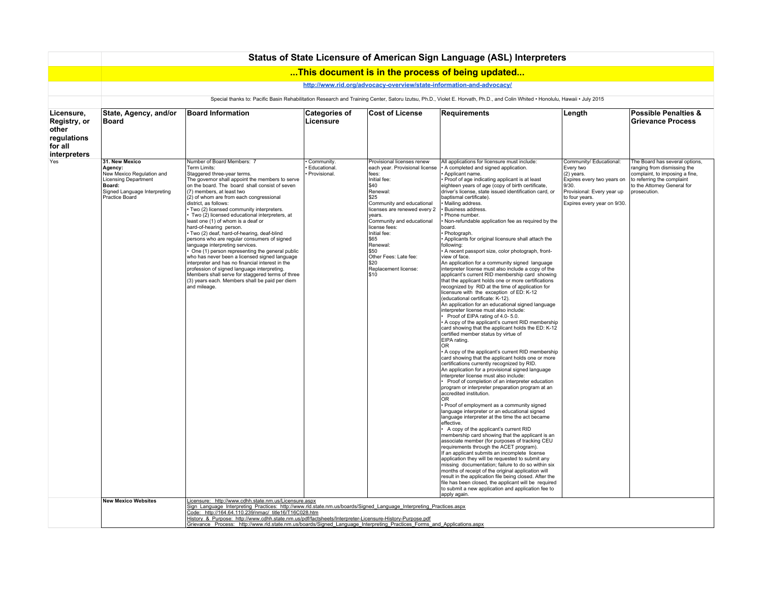|                                                                               |                                                                                                                                            |                                                                                                                                                                                                                                                                                                                                                                                                                                                                                                                                                                                                                                                                                                                                                                                                                                                                                                              |                                            |                                                                                                                                                                                                                                                                                                                                                     | Status of State Licensure of American Sign Language (ASL) Interpreters                                                                                                                                                                                                                                                                                                                                                                                                                                                                                                                                                                                                                                                                                                                                                                                                                                                                                                                                                                                                                                                                                                                                                                                                                                                                                                                                                                                                                                                                                                                                                                                                                                                                                                                                                                                                                                                                                                                                                                                                                                                                                                                                                                                                                                                                                                                                                             |                                                                                                                                                                          |                                                                                                                                                                              |
|-------------------------------------------------------------------------------|--------------------------------------------------------------------------------------------------------------------------------------------|--------------------------------------------------------------------------------------------------------------------------------------------------------------------------------------------------------------------------------------------------------------------------------------------------------------------------------------------------------------------------------------------------------------------------------------------------------------------------------------------------------------------------------------------------------------------------------------------------------------------------------------------------------------------------------------------------------------------------------------------------------------------------------------------------------------------------------------------------------------------------------------------------------------|--------------------------------------------|-----------------------------------------------------------------------------------------------------------------------------------------------------------------------------------------------------------------------------------------------------------------------------------------------------------------------------------------------------|------------------------------------------------------------------------------------------------------------------------------------------------------------------------------------------------------------------------------------------------------------------------------------------------------------------------------------------------------------------------------------------------------------------------------------------------------------------------------------------------------------------------------------------------------------------------------------------------------------------------------------------------------------------------------------------------------------------------------------------------------------------------------------------------------------------------------------------------------------------------------------------------------------------------------------------------------------------------------------------------------------------------------------------------------------------------------------------------------------------------------------------------------------------------------------------------------------------------------------------------------------------------------------------------------------------------------------------------------------------------------------------------------------------------------------------------------------------------------------------------------------------------------------------------------------------------------------------------------------------------------------------------------------------------------------------------------------------------------------------------------------------------------------------------------------------------------------------------------------------------------------------------------------------------------------------------------------------------------------------------------------------------------------------------------------------------------------------------------------------------------------------------------------------------------------------------------------------------------------------------------------------------------------------------------------------------------------------------------------------------------------------------------------------------------------|--------------------------------------------------------------------------------------------------------------------------------------------------------------------------|------------------------------------------------------------------------------------------------------------------------------------------------------------------------------|
|                                                                               |                                                                                                                                            |                                                                                                                                                                                                                                                                                                                                                                                                                                                                                                                                                                                                                                                                                                                                                                                                                                                                                                              |                                            |                                                                                                                                                                                                                                                                                                                                                     | This document is in the process of being updated                                                                                                                                                                                                                                                                                                                                                                                                                                                                                                                                                                                                                                                                                                                                                                                                                                                                                                                                                                                                                                                                                                                                                                                                                                                                                                                                                                                                                                                                                                                                                                                                                                                                                                                                                                                                                                                                                                                                                                                                                                                                                                                                                                                                                                                                                                                                                                                   |                                                                                                                                                                          |                                                                                                                                                                              |
|                                                                               |                                                                                                                                            |                                                                                                                                                                                                                                                                                                                                                                                                                                                                                                                                                                                                                                                                                                                                                                                                                                                                                                              |                                            | http://www.rid.org/advocacy-overview/state-information-and-advocacy/                                                                                                                                                                                                                                                                                |                                                                                                                                                                                                                                                                                                                                                                                                                                                                                                                                                                                                                                                                                                                                                                                                                                                                                                                                                                                                                                                                                                                                                                                                                                                                                                                                                                                                                                                                                                                                                                                                                                                                                                                                                                                                                                                                                                                                                                                                                                                                                                                                                                                                                                                                                                                                                                                                                                    |                                                                                                                                                                          |                                                                                                                                                                              |
|                                                                               |                                                                                                                                            |                                                                                                                                                                                                                                                                                                                                                                                                                                                                                                                                                                                                                                                                                                                                                                                                                                                                                                              |                                            |                                                                                                                                                                                                                                                                                                                                                     | Special thanks to: Pacific Basin Rehabilitation Research and Training Center, Satoru Izutsu, Ph.D., Violet E. Horvath, Ph.D., and Colin Whited · Honolulu, Hawaii · July 2015                                                                                                                                                                                                                                                                                                                                                                                                                                                                                                                                                                                                                                                                                                                                                                                                                                                                                                                                                                                                                                                                                                                                                                                                                                                                                                                                                                                                                                                                                                                                                                                                                                                                                                                                                                                                                                                                                                                                                                                                                                                                                                                                                                                                                                                      |                                                                                                                                                                          |                                                                                                                                                                              |
| Licensure,<br>Registry, or<br>other<br>regulations<br>for all<br>interpreters | State, Agency, and/or<br><b>Board</b>                                                                                                      | <b>Board Information</b>                                                                                                                                                                                                                                                                                                                                                                                                                                                                                                                                                                                                                                                                                                                                                                                                                                                                                     | <b>Categories of</b><br>Licensure          | <b>Cost of License</b>                                                                                                                                                                                                                                                                                                                              | Requirements                                                                                                                                                                                                                                                                                                                                                                                                                                                                                                                                                                                                                                                                                                                                                                                                                                                                                                                                                                                                                                                                                                                                                                                                                                                                                                                                                                                                                                                                                                                                                                                                                                                                                                                                                                                                                                                                                                                                                                                                                                                                                                                                                                                                                                                                                                                                                                                                                       | Length                                                                                                                                                                   | <b>Possible Penalties &amp;</b><br><b>Grievance Process</b>                                                                                                                  |
| Yes                                                                           | 31. New Mexico<br>Agency:<br>New Mexico Regulation and<br>Licensing Department<br>Board:<br>Signed Language Interpreting<br>Practice Board | Number of Board Members: 7<br>Term Limits:<br>Staggered three-year terms.<br>The governor shall appoint the members to serve<br>on the board. The board shall consist of seven<br>(7) members, at least two<br>(2) of whom are from each congressional<br>district, as follows:<br>· Two (2) licensed community interpreters.<br>Two (2) licensed educational interpreters, at<br>least one (1) of whom is a deaf or<br>hard-of-hearing person.<br>· Two (2) deaf, hard-of-hearing, deaf-blind<br>persons who are regular consumers of signed<br>language interpreting services.<br>One (1) person representing the general public<br>who has never been a licensed signed language<br>interpreter and has no financial interest in the<br>profession of signed language interpreting.<br>Members shall serve for staggered terms of three<br>(3) years each. Members shall be paid per diem<br>and mileage. | Community.<br>Educational.<br>Provisional. | Provisional licenses renew<br>each year. Provisional license<br>fees:<br>Initial fee:<br>\$40<br>Renewal:<br>\$25<br>Community and educational<br>licenses are renewed every 2<br>years.<br>Community and educational<br>license fees:<br>Initial fee:<br>\$65<br>Renewal:<br>\$50<br>Other Fees: Late fee:<br>\$20<br>Replacement license:<br>\$10 | All applications for licensure must include:<br>A completed and signed application.<br>Applicant name.<br>Proof of age indicating applicant is at least<br>eighteen years of age (copy of birth certificate,<br>driver's license, state issued identification card, or<br>baptismal certificate).<br>Mailing address.<br>Business address.<br>Phone number.<br>Non-refundable application fee as required by the<br>board.<br>Photograph.<br>Applicants for original licensure shall attach the<br>following:<br>A recent passport size, color photograph, front-<br>view of face.<br>An application for a community signed language<br>interpreter license must also include a copy of the<br>applicant's current RID membership card showing<br>that the applicant holds one or more certifications<br>recognized by RID at the time of application for<br>licensure with the exception of ED: K-12<br>(educational certificate: K-12).<br>An application for an educational signed language<br>interpreter license must also include:<br>Proof of EIPA rating of 4.0-5.0.<br>A copy of the applicant's current RID membership<br>card showing that the applicant holds the ED: K-12<br>certified member status by virtue of<br>EIPA rating.<br>0 <sub>R</sub><br>A copy of the applicant's current RID membership<br>card showing that the applicant holds one or more<br>certifications currently recognized by RID.<br>An application for a provisional signed language<br>interpreter license must also include:<br>Proof of completion of an interpreter education<br>program or interpreter preparation program at an<br>accredited institution.<br>OR<br>• Proof of employment as a community signed<br>language interpreter or an educational signed<br>language interpreter at the time the act became<br>effective.<br>A copy of the applicant's current RID<br>membership card showing that the applicant is an<br>associate member (for purposes of tracking CEU<br>requirements through the ACET program).<br>If an applicant submits an incomplete license<br>application they will be requested to submit any<br>missing documentation; failure to do so within six<br>months of receipt of the original application will<br>result in the application file being closed. After the<br>file has been closed, the applicant will be required<br>to submit a new application and application fee to<br>apply again. | Community/ Educational:<br>Every two<br>(2) years.<br>Expires every two years on<br>9/30.<br>Provisional: Every year up<br>to four years.<br>Expires every year on 9/30. | The Board has several options,<br>ranging from dismissing the<br>complaint, to imposing a fine,<br>to referring the complaint<br>to the Attorney General for<br>prosecution. |
|                                                                               | <b>New Mexico Websites</b>                                                                                                                 | Licensure: http://www.cdhh.state.nm.us/Licensure.aspx<br>Sign Language Interpreting Practices: http://www.rld.state.nm.us/boards/Signed_Language_Interpreting_Practices.aspx<br>Code: http://164.64.110.239/nmac/ title16/T16C028.htm<br>History & Purpose: http://www.cdhh.state.nm.us/pdf/factsheets/Interpreter-Licensure-History-Purpose.pdf<br>Grievance Process: http://www.rld.state.nm.us/boards/Signed Language Interpreting Practices Forms and Applications.aspx                                                                                                                                                                                                                                                                                                                                                                                                                                  |                                            |                                                                                                                                                                                                                                                                                                                                                     |                                                                                                                                                                                                                                                                                                                                                                                                                                                                                                                                                                                                                                                                                                                                                                                                                                                                                                                                                                                                                                                                                                                                                                                                                                                                                                                                                                                                                                                                                                                                                                                                                                                                                                                                                                                                                                                                                                                                                                                                                                                                                                                                                                                                                                                                                                                                                                                                                                    |                                                                                                                                                                          |                                                                                                                                                                              |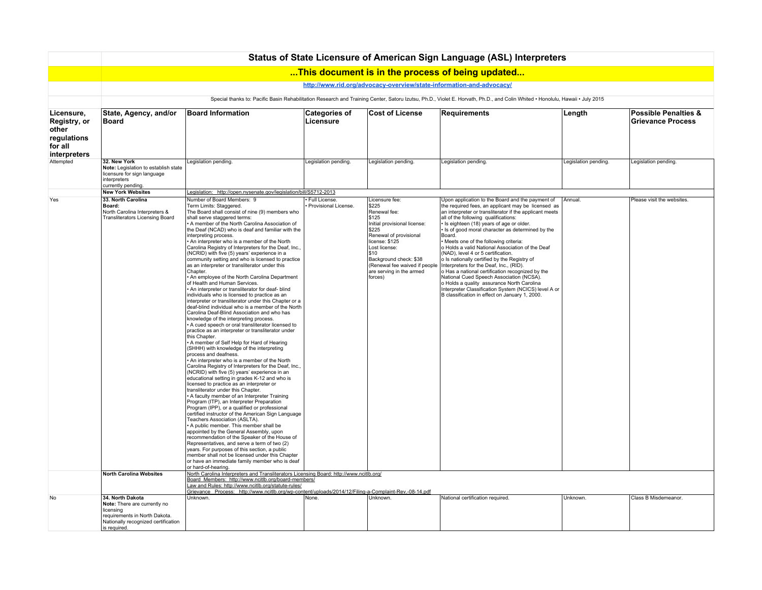|                                                               |                                                                                                                                                       |                                                                                                                                                                                                                                                                                                                                                                                                                                                                                                                                                                                                                                                                                                                                                                                                                                                                                                                                                                                                                                                                                                                                                                                                                                                                                                                                                                                                                                                                                                                                                                                                                                                                                                                                                                                                                                                                                                                                                                                                                                                                                                           |                                       |                                                                                                                                                                                                                                                                  | Status of State Licensure of American Sign Language (ASL) Interpreters                                                                                                                                                                                                                                                                                                                                                                                                                                                                                                                                                                                                                                                                                                                                     |                      |                                                             |
|---------------------------------------------------------------|-------------------------------------------------------------------------------------------------------------------------------------------------------|-----------------------------------------------------------------------------------------------------------------------------------------------------------------------------------------------------------------------------------------------------------------------------------------------------------------------------------------------------------------------------------------------------------------------------------------------------------------------------------------------------------------------------------------------------------------------------------------------------------------------------------------------------------------------------------------------------------------------------------------------------------------------------------------------------------------------------------------------------------------------------------------------------------------------------------------------------------------------------------------------------------------------------------------------------------------------------------------------------------------------------------------------------------------------------------------------------------------------------------------------------------------------------------------------------------------------------------------------------------------------------------------------------------------------------------------------------------------------------------------------------------------------------------------------------------------------------------------------------------------------------------------------------------------------------------------------------------------------------------------------------------------------------------------------------------------------------------------------------------------------------------------------------------------------------------------------------------------------------------------------------------------------------------------------------------------------------------------------------------|---------------------------------------|------------------------------------------------------------------------------------------------------------------------------------------------------------------------------------------------------------------------------------------------------------------|------------------------------------------------------------------------------------------------------------------------------------------------------------------------------------------------------------------------------------------------------------------------------------------------------------------------------------------------------------------------------------------------------------------------------------------------------------------------------------------------------------------------------------------------------------------------------------------------------------------------------------------------------------------------------------------------------------------------------------------------------------------------------------------------------------|----------------------|-------------------------------------------------------------|
|                                                               |                                                                                                                                                       |                                                                                                                                                                                                                                                                                                                                                                                                                                                                                                                                                                                                                                                                                                                                                                                                                                                                                                                                                                                                                                                                                                                                                                                                                                                                                                                                                                                                                                                                                                                                                                                                                                                                                                                                                                                                                                                                                                                                                                                                                                                                                                           |                                       |                                                                                                                                                                                                                                                                  | This document is in the process of being updated                                                                                                                                                                                                                                                                                                                                                                                                                                                                                                                                                                                                                                                                                                                                                           |                      |                                                             |
|                                                               |                                                                                                                                                       |                                                                                                                                                                                                                                                                                                                                                                                                                                                                                                                                                                                                                                                                                                                                                                                                                                                                                                                                                                                                                                                                                                                                                                                                                                                                                                                                                                                                                                                                                                                                                                                                                                                                                                                                                                                                                                                                                                                                                                                                                                                                                                           |                                       |                                                                                                                                                                                                                                                                  | http://www.rid.org/advocacy-overview/state-information-and-advocacy/                                                                                                                                                                                                                                                                                                                                                                                                                                                                                                                                                                                                                                                                                                                                       |                      |                                                             |
|                                                               |                                                                                                                                                       |                                                                                                                                                                                                                                                                                                                                                                                                                                                                                                                                                                                                                                                                                                                                                                                                                                                                                                                                                                                                                                                                                                                                                                                                                                                                                                                                                                                                                                                                                                                                                                                                                                                                                                                                                                                                                                                                                                                                                                                                                                                                                                           |                                       |                                                                                                                                                                                                                                                                  | Special thanks to: Pacific Basin Rehabilitation Research and Training Center, Satoru Izutsu, Ph.D., Violet E. Horvath, Ph.D., and Colin Whited . Honolulu, Hawaii . July 2015                                                                                                                                                                                                                                                                                                                                                                                                                                                                                                                                                                                                                              |                      |                                                             |
| Licensure,<br>Registry, or<br>other<br>regulations<br>for all | State, Agency, and/or<br><b>Board</b>                                                                                                                 | <b>Board Information</b>                                                                                                                                                                                                                                                                                                                                                                                                                                                                                                                                                                                                                                                                                                                                                                                                                                                                                                                                                                                                                                                                                                                                                                                                                                                                                                                                                                                                                                                                                                                                                                                                                                                                                                                                                                                                                                                                                                                                                                                                                                                                                  | <b>Categories of</b><br>Licensure     | <b>Cost of License</b>                                                                                                                                                                                                                                           | Requirements                                                                                                                                                                                                                                                                                                                                                                                                                                                                                                                                                                                                                                                                                                                                                                                               | Length               | <b>Possible Penalties &amp;</b><br><b>Grievance Process</b> |
| interpreters                                                  |                                                                                                                                                       |                                                                                                                                                                                                                                                                                                                                                                                                                                                                                                                                                                                                                                                                                                                                                                                                                                                                                                                                                                                                                                                                                                                                                                                                                                                                                                                                                                                                                                                                                                                                                                                                                                                                                                                                                                                                                                                                                                                                                                                                                                                                                                           |                                       |                                                                                                                                                                                                                                                                  |                                                                                                                                                                                                                                                                                                                                                                                                                                                                                                                                                                                                                                                                                                                                                                                                            |                      |                                                             |
| Attempted                                                     | 32. New York<br>Note: Legislation to establish state<br>licensure for sign language<br>interpreters<br>currently pending.                             | Legislation pending.                                                                                                                                                                                                                                                                                                                                                                                                                                                                                                                                                                                                                                                                                                                                                                                                                                                                                                                                                                                                                                                                                                                                                                                                                                                                                                                                                                                                                                                                                                                                                                                                                                                                                                                                                                                                                                                                                                                                                                                                                                                                                      | Legislation pending.                  | Legislation pending.                                                                                                                                                                                                                                             | Legislation pending.                                                                                                                                                                                                                                                                                                                                                                                                                                                                                                                                                                                                                                                                                                                                                                                       | Legislation pending. | Legislation pending.                                        |
|                                                               | <b>New York Websites</b>                                                                                                                              | Legislation: http://open.nysenate.gov/legislation/bill/S5712-2013                                                                                                                                                                                                                                                                                                                                                                                                                                                                                                                                                                                                                                                                                                                                                                                                                                                                                                                                                                                                                                                                                                                                                                                                                                                                                                                                                                                                                                                                                                                                                                                                                                                                                                                                                                                                                                                                                                                                                                                                                                         |                                       |                                                                                                                                                                                                                                                                  |                                                                                                                                                                                                                                                                                                                                                                                                                                                                                                                                                                                                                                                                                                                                                                                                            |                      |                                                             |
| Yes                                                           | 33. North Carolina<br>Board:<br>North Carolina Interpreters &<br><b>Transliterators Licensing Board</b>                                               | Number of Board Members: 9<br>Term Limits: Staggered.<br>The Board shall consist of nine (9) members who<br>shall serve staggered terms:<br>A member of the North Carolina Association of<br>the Deaf (NCAD) who is deaf and familiar with the<br>interpreting process.<br>. An interpreter who is a member of the North<br>Carolina Registry of Interpreters for the Deaf, Inc.,<br>(NCRID) with five (5) years' experience in a<br>community setting and who is licensed to practice<br>as an interpreter or transliterator under this<br>Chapter.<br>. An employee of the North Carolina Department<br>of Health and Human Services.<br>An interpreter or transliterator for deaf- blind<br>individuals who is licensed to practice as an<br>interpreter or transliterator under this Chapter or a<br>deaf-blind individual who is a member of the North<br>Carolina Deaf-Blind Association and who has<br>knowledge of the interpreting process.<br>• A cued speech or oral transliterator licensed to<br>practice as an interpreter or transliterator under<br>this Chapter.<br>A member of Self Help for Hard of Hearing<br>(SHHH) with knowledge of the interpreting<br>process and deafness.<br>An interpreter who is a member of the North<br>Carolina Registry of Interpreters for the Deaf, Inc.,<br>(NCRID) with five (5) years' experience in an<br>educational setting in grades K-12 and who is<br>licensed to practice as an interpreter or<br>transliterator under this Chapter.<br>• A faculty member of an Interpreter Training<br>Program (ITP), an Interpreter Preparation<br>Program (IPP), or a qualified or professional<br>certified instructor of the American Sign Language<br>Teachers Association (ASLTA).<br>A public member. This member shall be<br>appointed by the General Assembly, upon<br>recommendation of the Speaker of the House of<br>Representatives, and serve a term of two (2)<br>years. For purposes of this section, a public<br>member shall not be licensed under this Chapter<br>or have an immediate family member who is deaf<br>or hard-of-hearing. | Full License.<br>Provisional License. | Licensure fee:<br>\$225<br>Renewal fee:<br>\$125<br>Initial provisional license:<br>\$225<br>Renewal of provisional<br>license: \$125<br>Lost license:<br>\$10<br>Background check: \$38<br>(Renewal fee waived if people<br>are serving in the armed<br>forces) | Upon application to the Board and the payment of<br>the required fees, an applicant may be licensed as<br>an interpreter or transliterator if the applicant meets<br>all of the following qualifications:<br>· Is eighteen (18) years of age or older.<br>Is of good moral character as determined by the<br>Board.<br>· Meets one of the following criteria:<br>o Holds a valid National Association of the Deaf<br>(NAD), level 4 or 5 certification.<br>o Is nationally certified by the Registry of<br>Interpreters for the Deaf, Inc., (RID).<br>o Has a national certification recognized by the<br>National Cued Speech Association (NCSA).<br>o Holds a quality assurance North Carolina<br>Interpreter Classification System (NCICS) level A or<br>B classification in effect on January 1, 2000. | Annual.              | Please visit the websites.                                  |
|                                                               | <b>North Carolina Websites</b>                                                                                                                        | North Carolina Interpreters and Transliterators Licensing Board: http://www.ncitlb.org/<br>Board Members: http://www.ncitlb.org/board-members/                                                                                                                                                                                                                                                                                                                                                                                                                                                                                                                                                                                                                                                                                                                                                                                                                                                                                                                                                                                                                                                                                                                                                                                                                                                                                                                                                                                                                                                                                                                                                                                                                                                                                                                                                                                                                                                                                                                                                            |                                       |                                                                                                                                                                                                                                                                  |                                                                                                                                                                                                                                                                                                                                                                                                                                                                                                                                                                                                                                                                                                                                                                                                            |                      |                                                             |
|                                                               |                                                                                                                                                       | Law and Rules: http://www.ncitlb.org/statute-rules/<br>Grievance Process: http://www.ncitlb.org/wp-content/uploads/2014/12/Filing-a-Complaint-Rev.-08-14.pdf                                                                                                                                                                                                                                                                                                                                                                                                                                                                                                                                                                                                                                                                                                                                                                                                                                                                                                                                                                                                                                                                                                                                                                                                                                                                                                                                                                                                                                                                                                                                                                                                                                                                                                                                                                                                                                                                                                                                              |                                       |                                                                                                                                                                                                                                                                  |                                                                                                                                                                                                                                                                                                                                                                                                                                                                                                                                                                                                                                                                                                                                                                                                            |                      |                                                             |
| No                                                            | 34. North Dakota<br>Note: There are currently no<br>licensing<br>requirements in North Dakota.<br>Nationally recognized certification<br>is required. | Unknown.                                                                                                                                                                                                                                                                                                                                                                                                                                                                                                                                                                                                                                                                                                                                                                                                                                                                                                                                                                                                                                                                                                                                                                                                                                                                                                                                                                                                                                                                                                                                                                                                                                                                                                                                                                                                                                                                                                                                                                                                                                                                                                  | None.                                 | Unknown.                                                                                                                                                                                                                                                         | National certification required.                                                                                                                                                                                                                                                                                                                                                                                                                                                                                                                                                                                                                                                                                                                                                                           | Unknown.             | Class B Misdemeanor.                                        |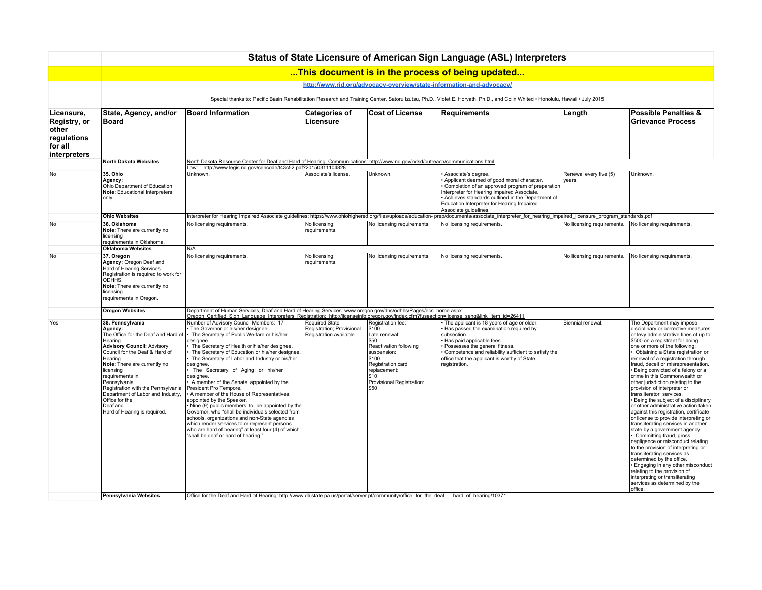|                                                                               |                                                                                                                                                                                                                                                                                                                                                                                                                           |                                                                                                                                                                                                                                                                                                                                                                                                                                                                                                                                                                                                                                                                                                                                                                                                                                                                                                                                                                                                                                                                                                                   |                                                                               |                                                                                                                                                                                             | Status of State Licensure of American Sign Language (ASL) Interpreters                                                                                                                                                                                                                         |                                  |                                                                                                                                                                                                                                                                                                                                                                                                                                                                                                                                                                                                                                                                                                                                                                                                                                                                                                                                                                                                                                                |
|-------------------------------------------------------------------------------|---------------------------------------------------------------------------------------------------------------------------------------------------------------------------------------------------------------------------------------------------------------------------------------------------------------------------------------------------------------------------------------------------------------------------|-------------------------------------------------------------------------------------------------------------------------------------------------------------------------------------------------------------------------------------------------------------------------------------------------------------------------------------------------------------------------------------------------------------------------------------------------------------------------------------------------------------------------------------------------------------------------------------------------------------------------------------------------------------------------------------------------------------------------------------------------------------------------------------------------------------------------------------------------------------------------------------------------------------------------------------------------------------------------------------------------------------------------------------------------------------------------------------------------------------------|-------------------------------------------------------------------------------|---------------------------------------------------------------------------------------------------------------------------------------------------------------------------------------------|------------------------------------------------------------------------------------------------------------------------------------------------------------------------------------------------------------------------------------------------------------------------------------------------|----------------------------------|------------------------------------------------------------------------------------------------------------------------------------------------------------------------------------------------------------------------------------------------------------------------------------------------------------------------------------------------------------------------------------------------------------------------------------------------------------------------------------------------------------------------------------------------------------------------------------------------------------------------------------------------------------------------------------------------------------------------------------------------------------------------------------------------------------------------------------------------------------------------------------------------------------------------------------------------------------------------------------------------------------------------------------------------|
|                                                                               |                                                                                                                                                                                                                                                                                                                                                                                                                           |                                                                                                                                                                                                                                                                                                                                                                                                                                                                                                                                                                                                                                                                                                                                                                                                                                                                                                                                                                                                                                                                                                                   |                                                                               |                                                                                                                                                                                             | This document is in the process of being updated                                                                                                                                                                                                                                               |                                  |                                                                                                                                                                                                                                                                                                                                                                                                                                                                                                                                                                                                                                                                                                                                                                                                                                                                                                                                                                                                                                                |
|                                                                               |                                                                                                                                                                                                                                                                                                                                                                                                                           |                                                                                                                                                                                                                                                                                                                                                                                                                                                                                                                                                                                                                                                                                                                                                                                                                                                                                                                                                                                                                                                                                                                   |                                                                               |                                                                                                                                                                                             | http://www.rid.org/advocacy-overview/state-information-and-advocacy/                                                                                                                                                                                                                           |                                  |                                                                                                                                                                                                                                                                                                                                                                                                                                                                                                                                                                                                                                                                                                                                                                                                                                                                                                                                                                                                                                                |
|                                                                               |                                                                                                                                                                                                                                                                                                                                                                                                                           |                                                                                                                                                                                                                                                                                                                                                                                                                                                                                                                                                                                                                                                                                                                                                                                                                                                                                                                                                                                                                                                                                                                   |                                                                               |                                                                                                                                                                                             | Special thanks to: Pacific Basin Rehabilitation Research and Training Center, Satoru Izutsu, Ph.D., Violet E. Horvath, Ph.D., and Colin Whited . Honolulu, Hawaii . July 2015                                                                                                                  |                                  |                                                                                                                                                                                                                                                                                                                                                                                                                                                                                                                                                                                                                                                                                                                                                                                                                                                                                                                                                                                                                                                |
| Licensure,<br>Registry, or<br>other<br>regulations<br>for all<br>interpreters | State, Agency, and/or<br><b>Board</b>                                                                                                                                                                                                                                                                                                                                                                                     | <b>Board Information</b>                                                                                                                                                                                                                                                                                                                                                                                                                                                                                                                                                                                                                                                                                                                                                                                                                                                                                                                                                                                                                                                                                          | <b>Categories of</b><br>Licensure                                             | <b>Cost of License</b>                                                                                                                                                                      | <b>Requirements</b>                                                                                                                                                                                                                                                                            | Length                           | <b>Possible Penalties &amp;</b><br><b>Grievance Process</b>                                                                                                                                                                                                                                                                                                                                                                                                                                                                                                                                                                                                                                                                                                                                                                                                                                                                                                                                                                                    |
|                                                                               | <b>North Dakota Websites</b>                                                                                                                                                                                                                                                                                                                                                                                              | North Dakota Resource Center for Deaf and Hard of Hearing, Communications: http://www.nd.gov/ndsd/outreach/communications.html<br>Law: http://www.legis.nd.gov/cencode/t43c52.pdf?20150311104828                                                                                                                                                                                                                                                                                                                                                                                                                                                                                                                                                                                                                                                                                                                                                                                                                                                                                                                  |                                                                               |                                                                                                                                                                                             |                                                                                                                                                                                                                                                                                                |                                  |                                                                                                                                                                                                                                                                                                                                                                                                                                                                                                                                                                                                                                                                                                                                                                                                                                                                                                                                                                                                                                                |
| No                                                                            | 35. Ohio<br>Agency:<br>Ohio Department of Education<br>Note: Educational Interpreters<br>only.                                                                                                                                                                                                                                                                                                                            | Unknown.                                                                                                                                                                                                                                                                                                                                                                                                                                                                                                                                                                                                                                                                                                                                                                                                                                                                                                                                                                                                                                                                                                          | Associate's license.                                                          | Unknown                                                                                                                                                                                     | Associate's degree.<br>Applicant deemed of good moral character.<br>Completion of an approved program of preparation<br>Interpreter for Hearing Impaired Associate.<br>Achieves standards outlined in the Department of<br>Education Interpreter for Hearing Impaired<br>Associate guidelines. | Renewal every five (5)<br>years. | Unknown.                                                                                                                                                                                                                                                                                                                                                                                                                                                                                                                                                                                                                                                                                                                                                                                                                                                                                                                                                                                                                                       |
|                                                                               | <b>Ohio Websites</b>                                                                                                                                                                                                                                                                                                                                                                                                      |                                                                                                                                                                                                                                                                                                                                                                                                                                                                                                                                                                                                                                                                                                                                                                                                                                                                                                                                                                                                                                                                                                                   |                                                                               |                                                                                                                                                                                             | Interpreter for Hearing Impaired Associate guidelines: https://www.ohiohighered.org/files/uploads/education-prep/documents/associate_interpreter_for_hearing_impaired_licensure_program_standards.pdf                                                                                          |                                  |                                                                                                                                                                                                                                                                                                                                                                                                                                                                                                                                                                                                                                                                                                                                                                                                                                                                                                                                                                                                                                                |
| <b>No</b>                                                                     | 36. Oklahoma<br>Note: There are currently no<br>licensing<br>requirements in Oklahoma.                                                                                                                                                                                                                                                                                                                                    | No licensing requirements.                                                                                                                                                                                                                                                                                                                                                                                                                                                                                                                                                                                                                                                                                                                                                                                                                                                                                                                                                                                                                                                                                        | No licensing<br>requirements.                                                 | No licensing requirements.                                                                                                                                                                  | No licensing requirements.                                                                                                                                                                                                                                                                     | No licensing requirements.       | No licensing requirements.                                                                                                                                                                                                                                                                                                                                                                                                                                                                                                                                                                                                                                                                                                                                                                                                                                                                                                                                                                                                                     |
|                                                                               | <b>Oklahoma Websites</b>                                                                                                                                                                                                                                                                                                                                                                                                  | N/A                                                                                                                                                                                                                                                                                                                                                                                                                                                                                                                                                                                                                                                                                                                                                                                                                                                                                                                                                                                                                                                                                                               |                                                                               |                                                                                                                                                                                             |                                                                                                                                                                                                                                                                                                |                                  |                                                                                                                                                                                                                                                                                                                                                                                                                                                                                                                                                                                                                                                                                                                                                                                                                                                                                                                                                                                                                                                |
| No                                                                            | 37. Oregon<br>Agency: Oregon Deaf and<br>Hard of Hearing Services.<br>Registration is required to work for<br>ODHHS.<br>Note: There are currently no<br>licensing<br>requirements in Oregon.                                                                                                                                                                                                                              | No licensing requirements.                                                                                                                                                                                                                                                                                                                                                                                                                                                                                                                                                                                                                                                                                                                                                                                                                                                                                                                                                                                                                                                                                        | No licensing<br>requirements.                                                 | No licensing requirements.                                                                                                                                                                  | No licensing requirements.                                                                                                                                                                                                                                                                     | No licensing requirements.       | No licensing requirements.                                                                                                                                                                                                                                                                                                                                                                                                                                                                                                                                                                                                                                                                                                                                                                                                                                                                                                                                                                                                                     |
|                                                                               | <b>Oregon Websites</b>                                                                                                                                                                                                                                                                                                                                                                                                    | Department of Human Services, Deaf and Hard of Hearing Services: www.oregon.gov/dhs/odhhs/Pages/ecs_home.aspx                                                                                                                                                                                                                                                                                                                                                                                                                                                                                                                                                                                                                                                                                                                                                                                                                                                                                                                                                                                                     |                                                                               |                                                                                                                                                                                             |                                                                                                                                                                                                                                                                                                |                                  |                                                                                                                                                                                                                                                                                                                                                                                                                                                                                                                                                                                                                                                                                                                                                                                                                                                                                                                                                                                                                                                |
| Yes                                                                           | 38. Pennsylvania<br>Agency:<br>The Office for the Deaf and Hard of<br>Hearing<br><b>Advisory Council: Advisory</b><br>Council for the Deaf & Hard of<br>Hearing<br>Note: There are currently no<br>licensing<br>requirements in<br>Pennsylvania.<br>Registration with the Pennsylvania<br>Department of Labor and Industry,<br>Office for the<br>Deaf and<br>Hard of Hearing is required.<br><b>Pennsylvania Websites</b> | Oregon Certified Sign Language Interpreters Registration: http://licenseinfo.oregon.gov/index.cfm?fuseaction=license_seng&link_item_id=26411<br>Number of Advisory Council Members: 17<br>The Governor or his/her designee.<br>• The Secretary of Public Welfare or his/her<br>designee.<br>The Secretary of Health or his/her designee.<br>The Secretary of Education or his/her designee.<br>The Secretary of Labor and Industry or his/her<br>designee.<br>The Secretary of Aging or his/her<br>designee.<br>A member of the Senate, appointed by the<br>President Pro Tempore.<br>A member of the House of Representatives,<br>appointed by the Speaker.<br>· Nine (9) public members to be appointed by the<br>Governor, who "shall be individuals selected from<br>schools, organizations and non-State agencies<br>which render services to or represent persons<br>who are hard of hearing" at least four (4) of which<br>"shall be deaf or hard of hearing."<br>Office for the Deaf and Hard of Hearing: http://www.dli.state.pa.us/portal/server.pt/community/office for the deaf hard of hearing/10371 | <b>Required State</b><br>Registration; Provisional<br>Registration available. | Registration fee:<br>$s_1$ 00<br>Late renewal:<br>\$50<br>Reactivation following<br>suspension:<br>\$100<br>Registration card<br>replacement:<br> \$10<br>Provisional Registration:<br>\$50 | The applicant is 18 years of age or older.<br>Has passed the examination required by<br>subsection.<br>Has paid applicable fees.<br>Possesses the general fitness.<br>Competence and reliability sufficient to satisfy the<br>office that the applicant is worthy of State<br>registration.    | Biennial renewal.                | The Department may impose<br>disciplinary or corrective measures<br>or levy administrative fines of up to<br>\$500 on a registrant for doing<br>one or more of the following:<br>• Obtaining a State registration or<br>renewal of a registration through<br>fraud, deceit or misrepresentation.<br>• Being convicted of a felony or a<br>crime in this Commonwealth or<br>other jurisdiction relating to the<br>provision of interpreter or<br>transliterator services.<br>• Being the subject of a disciplinary<br>or other administrative action taken<br>against this registration, certificate<br>or license to provide interpreting or<br>transliterating services in another<br>state by a government agency.<br>• Committing fraud, gross<br>negligence or misconduct relating<br>to the provision of interpreting or<br>transliterating services as<br>determined by the office.<br>· Engaging in any other misconduct<br>relating to the provision of<br>interpreting or transliterating<br>services as determined by the<br>office. |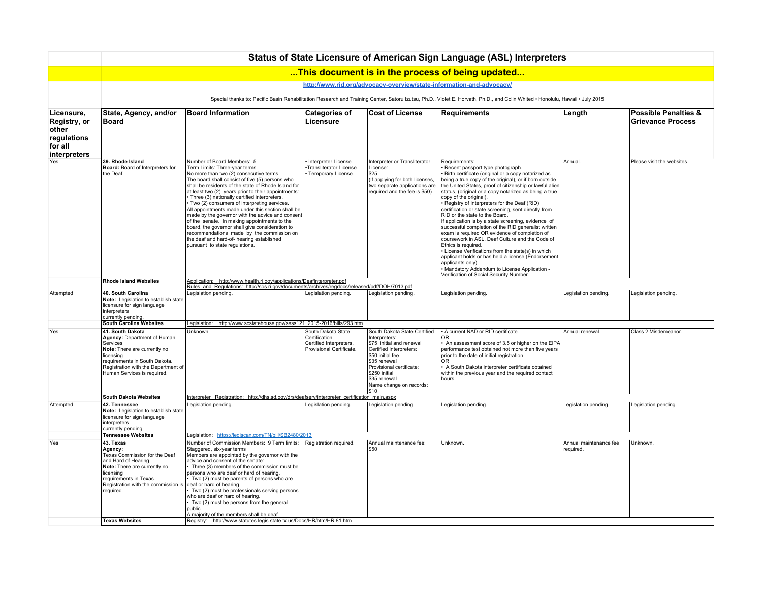|                                                                               |                                                                                                                                                                                                                 |                                                                                                                                                                                                                                                                                                                                                                                                                                                                                                                                                                                                                                                                                                                 |                                                                                             |                                                                                                                                                                                                                                         | Status of State Licensure of American Sign Language (ASL) Interpreters                                                                                                                                                                                                                                                                                                                                                                                                                                                                                                                                                                                                                                                                                                                                                                                                                                                       |                                    |                                                             |
|-------------------------------------------------------------------------------|-----------------------------------------------------------------------------------------------------------------------------------------------------------------------------------------------------------------|-----------------------------------------------------------------------------------------------------------------------------------------------------------------------------------------------------------------------------------------------------------------------------------------------------------------------------------------------------------------------------------------------------------------------------------------------------------------------------------------------------------------------------------------------------------------------------------------------------------------------------------------------------------------------------------------------------------------|---------------------------------------------------------------------------------------------|-----------------------------------------------------------------------------------------------------------------------------------------------------------------------------------------------------------------------------------------|------------------------------------------------------------------------------------------------------------------------------------------------------------------------------------------------------------------------------------------------------------------------------------------------------------------------------------------------------------------------------------------------------------------------------------------------------------------------------------------------------------------------------------------------------------------------------------------------------------------------------------------------------------------------------------------------------------------------------------------------------------------------------------------------------------------------------------------------------------------------------------------------------------------------------|------------------------------------|-------------------------------------------------------------|
|                                                                               |                                                                                                                                                                                                                 |                                                                                                                                                                                                                                                                                                                                                                                                                                                                                                                                                                                                                                                                                                                 |                                                                                             |                                                                                                                                                                                                                                         | This document is in the process of being updated                                                                                                                                                                                                                                                                                                                                                                                                                                                                                                                                                                                                                                                                                                                                                                                                                                                                             |                                    |                                                             |
|                                                                               |                                                                                                                                                                                                                 |                                                                                                                                                                                                                                                                                                                                                                                                                                                                                                                                                                                                                                                                                                                 |                                                                                             | http://www.rid.org/advocacy-overview/state-information-and-advocacy/                                                                                                                                                                    |                                                                                                                                                                                                                                                                                                                                                                                                                                                                                                                                                                                                                                                                                                                                                                                                                                                                                                                              |                                    |                                                             |
|                                                                               |                                                                                                                                                                                                                 |                                                                                                                                                                                                                                                                                                                                                                                                                                                                                                                                                                                                                                                                                                                 |                                                                                             |                                                                                                                                                                                                                                         | Special thanks to: Pacific Basin Rehabilitation Research and Training Center, Satoru Izutsu, Ph.D., Violet E. Horvath, Ph.D., and Colin Whited . Honolulu, Hawaii . July 2015                                                                                                                                                                                                                                                                                                                                                                                                                                                                                                                                                                                                                                                                                                                                                |                                    |                                                             |
| Licensure,<br>Registry, or<br>other<br>regulations<br>for all<br>interpreters | State, Agency, and/or<br>Board                                                                                                                                                                                  | <b>Board Information</b>                                                                                                                                                                                                                                                                                                                                                                                                                                                                                                                                                                                                                                                                                        | <b>Categories of</b><br>Licensure                                                           | <b>Cost of License</b>                                                                                                                                                                                                                  | <b>Requirements</b>                                                                                                                                                                                                                                                                                                                                                                                                                                                                                                                                                                                                                                                                                                                                                                                                                                                                                                          | Length                             | <b>Possible Penalties &amp;</b><br><b>Grievance Process</b> |
| Yes                                                                           | 39. Rhode Island<br>Board: Board of Interpreters for<br>the Deaf                                                                                                                                                | Number of Board Members: 5<br>Term Limits: Three-year terms.<br>No more than two (2) consecutive terms.<br>The board shall consist of five (5) persons who<br>shall be residents of the state of Rhode Island for<br>at least two (2) years prior to their appointments:<br>Three (3) nationally certified interpreters.<br>Two (2) consumers of interpreting services.<br>All appointments made under this section shall be<br>made by the governor with the advice and consent<br>of the senate. In making appointments to the<br>board, the governor shall give consideration to<br>recommendations made by the commission on<br>the deaf and hard-of- hearing established<br>pursuant to state regulations. | · Interpreter License.<br>Transliterator License.<br>Temporary License.                     | Interpreter or Transliterator<br>License:<br><b>S25</b><br>(If applying for both licenses,<br>two separate applications are<br>required and the fee is \$50)                                                                            | Requirements:<br>Recent passport type photograph.<br>Birth certificate (original or a copy notarized as<br>being a true copy of the original), or if born outside<br>the United States, proof of citizenship or lawful alien<br>status, (original or a copy notarized as being a true<br>copy of the original).<br>Registry of Interpreters for the Deaf (RID)<br>certification or state screening, sent directly from<br>RID or the state to the Board.<br>If application is by a state screening, evidence of<br>successful completion of the RID generalist written<br>exam is required OR evidence of completion of<br>coursework in ASL, Deaf Culture and the Code of<br>Ethics is required.<br>License Verifications from the state(s) in which<br>applicant holds or has held a license (Endorsement<br>applicants only).<br>· Mandatory Addendum to License Application -<br>Verification of Social Security Number. | Annual.                            | Please visit the websites.                                  |
|                                                                               | <b>Rhode Island Websites</b>                                                                                                                                                                                    | Application: http://www.health.ri.gov/applications/DeafInterpreter.pdf<br>Rules and Regulations: http://sos.ri.gov/documents/archives/regdocs/released/pdf/DOH/7013.pdf                                                                                                                                                                                                                                                                                                                                                                                                                                                                                                                                         |                                                                                             |                                                                                                                                                                                                                                         |                                                                                                                                                                                                                                                                                                                                                                                                                                                                                                                                                                                                                                                                                                                                                                                                                                                                                                                              |                                    |                                                             |
| Attempted                                                                     | 40. South Carolina<br>Note: Legislation to establish state<br>licensure for sign language<br>interpreters<br>currently pending.                                                                                 | Legislation pending.                                                                                                                                                                                                                                                                                                                                                                                                                                                                                                                                                                                                                                                                                            | Legislation pending.                                                                        | Legislation pending.                                                                                                                                                                                                                    | Legislation pending.                                                                                                                                                                                                                                                                                                                                                                                                                                                                                                                                                                                                                                                                                                                                                                                                                                                                                                         | Legislation pending.               | Legislation pending.                                        |
|                                                                               | <b>South Carolina Websites</b>                                                                                                                                                                                  | Legislation: http://www.scstatehouse.gov/sess121_2015-2016/bills/293.htm                                                                                                                                                                                                                                                                                                                                                                                                                                                                                                                                                                                                                                        |                                                                                             |                                                                                                                                                                                                                                         |                                                                                                                                                                                                                                                                                                                                                                                                                                                                                                                                                                                                                                                                                                                                                                                                                                                                                                                              |                                    |                                                             |
| Yes                                                                           | 41. South Dakota<br>Agency: Department of Human<br>Services<br>Note: There are currently no<br>licensing<br>requirements in South Dakota.<br>Registration with the Department of<br>Human Services is required. | Unknown.                                                                                                                                                                                                                                                                                                                                                                                                                                                                                                                                                                                                                                                                                                        | South Dakota State<br>Certification.<br>Certified Interpreters.<br>Provisional Certificate. | South Dakota State Certified<br>Interpreters:<br>\$75 initial and renewal<br>Certified Interpreters:<br>\$50 initial fee<br>\$35 renewal<br>Provisional certificate:<br>\$250 initial<br>\$35 renewal<br>Name change on records:<br>510 | • A current NAD or RID certificate.<br><b>OR</b><br>An assessment score of 3.5 or higher on the EIPA<br>performance test obtained not more than five years<br>prior to the date of initial registration.<br>OR<br>A South Dakota interpreter certificate obtained<br>within the previous year and the required contact<br>hours.                                                                                                                                                                                                                                                                                                                                                                                                                                                                                                                                                                                             | Annual renewal.                    | Class 2 Misdemeanor.                                        |
|                                                                               | <b>South Dakota Websites</b>                                                                                                                                                                                    | Interpreter Registration: http://dhs.sd.gov/drs/deafserv/interpreter_certification_main.aspx                                                                                                                                                                                                                                                                                                                                                                                                                                                                                                                                                                                                                    |                                                                                             |                                                                                                                                                                                                                                         |                                                                                                                                                                                                                                                                                                                                                                                                                                                                                                                                                                                                                                                                                                                                                                                                                                                                                                                              |                                    |                                                             |
| Attempted                                                                     | 42. Tennessee<br>Note: Legislation to establish state<br>licensure for sign language<br>interpreters<br>currently pending.                                                                                      | Legislation pending.                                                                                                                                                                                                                                                                                                                                                                                                                                                                                                                                                                                                                                                                                            | Legislation pending.                                                                        | Legislation pending.                                                                                                                                                                                                                    | Legislation pending.                                                                                                                                                                                                                                                                                                                                                                                                                                                                                                                                                                                                                                                                                                                                                                                                                                                                                                         | Legislation pending.               | Legislation pending.                                        |
|                                                                               | <b>Tennessee Websites</b>                                                                                                                                                                                       | Legislation: https://legiscan.com/TN/bill/SB2480/2013                                                                                                                                                                                                                                                                                                                                                                                                                                                                                                                                                                                                                                                           |                                                                                             |                                                                                                                                                                                                                                         |                                                                                                                                                                                                                                                                                                                                                                                                                                                                                                                                                                                                                                                                                                                                                                                                                                                                                                                              |                                    |                                                             |
| Yes                                                                           | 43. Texas<br>Agency:<br>Texas Commission for the Deaf<br>and Hard of Hearing<br>Note: There are currently no<br>licensing<br>requirements in Texas.<br>Registration with the commission is<br>required.         | Number of Commission Members: 9 Term limits:<br>Staggered, six-year terms<br>Members are appointed by the governor with the<br>advice and consent of the senate:<br>Three (3) members of the commission must be<br>persons who are deaf or hard of hearing.<br>Two (2) must be parents of persons who are<br>deaf or hard of hearing.<br>Two (2) must be professionals serving persons<br>who are deaf or hard of hearing.<br>Two (2) must be persons from the general<br>public.<br>A majority of the members shall be deaf.                                                                                                                                                                                   | Registration required.                                                                      | Annual maintenance fee:<br>IS50                                                                                                                                                                                                         | Unknown.                                                                                                                                                                                                                                                                                                                                                                                                                                                                                                                                                                                                                                                                                                                                                                                                                                                                                                                     | Annual maintenance fee<br>reauired | Unknown.                                                    |
|                                                                               | <b>Texas Websites</b>                                                                                                                                                                                           | Registry: http://www.statutes.legis.state.tx.us/Docs/HR/htm/HR.81.htm                                                                                                                                                                                                                                                                                                                                                                                                                                                                                                                                                                                                                                           |                                                                                             |                                                                                                                                                                                                                                         |                                                                                                                                                                                                                                                                                                                                                                                                                                                                                                                                                                                                                                                                                                                                                                                                                                                                                                                              |                                    |                                                             |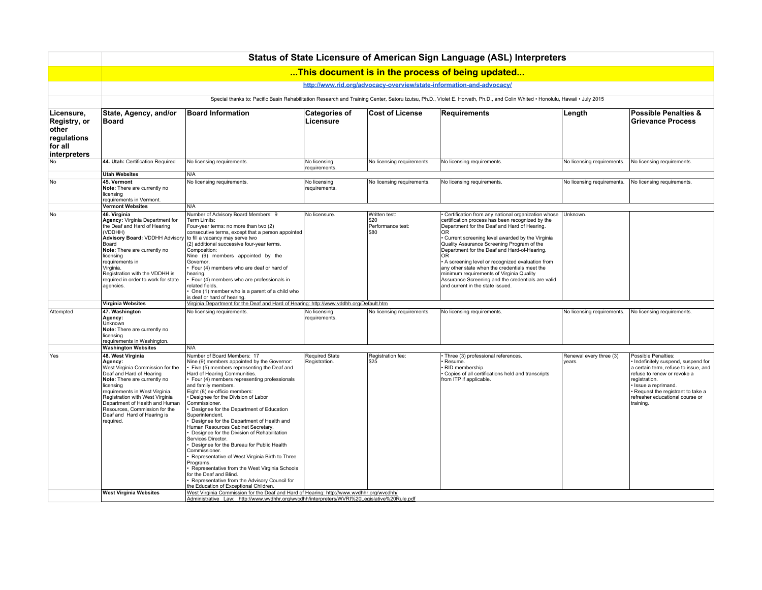|                                                                               |                                                                                                                                                                                                                                                                                                                                                                |                                                                                                                                                                                                                                                                                                                                                                                                                                                                                                                                                                                                                                                                                                                                                                                                                                                                                                                                              |                                        |                                  | Status of State Licensure of American Sign Language (ASL) Interpreters                                                                                                                                                                                                                                                                                                                                                                                                                                      |                                  |                                                                                                                                                                                                                                                                |
|-------------------------------------------------------------------------------|----------------------------------------------------------------------------------------------------------------------------------------------------------------------------------------------------------------------------------------------------------------------------------------------------------------------------------------------------------------|----------------------------------------------------------------------------------------------------------------------------------------------------------------------------------------------------------------------------------------------------------------------------------------------------------------------------------------------------------------------------------------------------------------------------------------------------------------------------------------------------------------------------------------------------------------------------------------------------------------------------------------------------------------------------------------------------------------------------------------------------------------------------------------------------------------------------------------------------------------------------------------------------------------------------------------------|----------------------------------------|----------------------------------|-------------------------------------------------------------------------------------------------------------------------------------------------------------------------------------------------------------------------------------------------------------------------------------------------------------------------------------------------------------------------------------------------------------------------------------------------------------------------------------------------------------|----------------------------------|----------------------------------------------------------------------------------------------------------------------------------------------------------------------------------------------------------------------------------------------------------------|
|                                                                               |                                                                                                                                                                                                                                                                                                                                                                |                                                                                                                                                                                                                                                                                                                                                                                                                                                                                                                                                                                                                                                                                                                                                                                                                                                                                                                                              |                                        |                                  | This document is in the process of being updated                                                                                                                                                                                                                                                                                                                                                                                                                                                            |                                  |                                                                                                                                                                                                                                                                |
|                                                                               |                                                                                                                                                                                                                                                                                                                                                                |                                                                                                                                                                                                                                                                                                                                                                                                                                                                                                                                                                                                                                                                                                                                                                                                                                                                                                                                              |                                        |                                  | http://www.rid.org/advocacy-overview/state-information-and-advocacy/                                                                                                                                                                                                                                                                                                                                                                                                                                        |                                  |                                                                                                                                                                                                                                                                |
|                                                                               |                                                                                                                                                                                                                                                                                                                                                                |                                                                                                                                                                                                                                                                                                                                                                                                                                                                                                                                                                                                                                                                                                                                                                                                                                                                                                                                              |                                        |                                  | Special thanks to: Pacific Basin Rehabilitation Research and Training Center, Satoru Izutsu, Ph.D., Violet E. Horvath, Ph.D., and Colin Whited . Honolulu, Hawaii . July 2015                                                                                                                                                                                                                                                                                                                               |                                  |                                                                                                                                                                                                                                                                |
| Licensure,<br>Registry, or<br>other<br>regulations<br>for all<br>interpreters | State, Agency, and/or<br>Board                                                                                                                                                                                                                                                                                                                                 | <b>Board Information</b>                                                                                                                                                                                                                                                                                                                                                                                                                                                                                                                                                                                                                                                                                                                                                                                                                                                                                                                     | <b>Categories of</b><br>Licensure      | <b>Cost of License</b>           | <b>Requirements</b>                                                                                                                                                                                                                                                                                                                                                                                                                                                                                         | Length                           | <b>Possible Penalties &amp;</b><br><b>Grievance Process</b>                                                                                                                                                                                                    |
| No                                                                            | 44. Utah: Certification Required                                                                                                                                                                                                                                                                                                                               | No licensing requirements.                                                                                                                                                                                                                                                                                                                                                                                                                                                                                                                                                                                                                                                                                                                                                                                                                                                                                                                   | No licensing<br>requirements.          | No licensing requirements.       | No licensing requirements                                                                                                                                                                                                                                                                                                                                                                                                                                                                                   | No licensing requirements.       | No licensing requirements.                                                                                                                                                                                                                                     |
|                                                                               | <b>Utah Websites</b>                                                                                                                                                                                                                                                                                                                                           | N/A                                                                                                                                                                                                                                                                                                                                                                                                                                                                                                                                                                                                                                                                                                                                                                                                                                                                                                                                          |                                        |                                  |                                                                                                                                                                                                                                                                                                                                                                                                                                                                                                             |                                  |                                                                                                                                                                                                                                                                |
| <b>No</b>                                                                     | 45. Vermont<br>Note: There are currently no<br>licensing<br>requirements in Vermont.                                                                                                                                                                                                                                                                           | No licensing requirements.                                                                                                                                                                                                                                                                                                                                                                                                                                                                                                                                                                                                                                                                                                                                                                                                                                                                                                                   | No licensing<br>requirements.          | No licensing requirements.       | No licensing requirements.                                                                                                                                                                                                                                                                                                                                                                                                                                                                                  | No licensing requirements.       | No licensing requirements.                                                                                                                                                                                                                                     |
| No                                                                            | <b>Vermont Websites</b><br>46. Virginia                                                                                                                                                                                                                                                                                                                        | N/A<br>Number of Advisory Board Members: 9                                                                                                                                                                                                                                                                                                                                                                                                                                                                                                                                                                                                                                                                                                                                                                                                                                                                                                   | No licensure.                          | Written test:                    | Certification from any national organization whose                                                                                                                                                                                                                                                                                                                                                                                                                                                          | Unknown.                         |                                                                                                                                                                                                                                                                |
|                                                                               | Agency: Virginia Department for<br>the Deaf and Hard of Hearing<br>(VDDHH)<br><b>Advisory Board: VDDHH Advisory</b><br>Board<br>Note: There are currently no<br>licensing<br>requirements in<br>Virginia.<br>Registration with the VDDHH is<br>required in order to work for state<br>agencies.                                                                | Term Limits:<br>Four-year terms: no more than two (2)<br>consecutive terms, except that a person appointed<br>to fill a vacancy may serve two<br>(2) additional successive four-year terms.<br>Composition:<br>Nine (9) members appointed by the<br>Governor.<br>Four (4) members who are deaf or hard of<br>hearing.<br>Four (4) members who are professionals in<br>related fields.<br>One (1) member who is a parent of a child who<br>is deaf or hard of hearing.                                                                                                                                                                                                                                                                                                                                                                                                                                                                        |                                        | \$20<br>Performance test:<br>580 | certification process has been recognized by the<br>Department for the Deaf and Hard of Hearing.<br>OR.<br>• Current screening level awarded by the Virginia<br>Quality Assurance Screening Program of the<br>Department for the Deaf and Hard-of-Hearing.<br>IOR.<br>A screening level or recognized evaluation from<br>any other state when the credentials meet the<br>minimum requirements of Virginia Quality<br>Assurance Screening and the credentials are valid<br>and current in the state issued. |                                  |                                                                                                                                                                                                                                                                |
|                                                                               | <b>Virginia Websites</b>                                                                                                                                                                                                                                                                                                                                       | Virginia Department for the Deaf and Hard of Hearing: http://www.vddhh.org/Default.htm                                                                                                                                                                                                                                                                                                                                                                                                                                                                                                                                                                                                                                                                                                                                                                                                                                                       |                                        |                                  |                                                                                                                                                                                                                                                                                                                                                                                                                                                                                                             |                                  |                                                                                                                                                                                                                                                                |
| Attempted                                                                     | 47. Washington<br>Agency:<br>Unknown<br>Note: There are currently no<br>licensing<br>requirements in Washington.                                                                                                                                                                                                                                               | No licensing requirements.                                                                                                                                                                                                                                                                                                                                                                                                                                                                                                                                                                                                                                                                                                                                                                                                                                                                                                                   | No licensing<br>requirements.          | No licensing requirements.       | No licensing requirements.                                                                                                                                                                                                                                                                                                                                                                                                                                                                                  | No licensing requirements.       | No licensing requirements.                                                                                                                                                                                                                                     |
|                                                                               | <b>Washington Websites</b>                                                                                                                                                                                                                                                                                                                                     | N/A                                                                                                                                                                                                                                                                                                                                                                                                                                                                                                                                                                                                                                                                                                                                                                                                                                                                                                                                          |                                        |                                  |                                                                                                                                                                                                                                                                                                                                                                                                                                                                                                             |                                  |                                                                                                                                                                                                                                                                |
| Yes                                                                           | 48. West Virginia<br>Agency:<br>West Virginia Commission for the<br>Deaf and Hard of Hearing<br>Note: There are currently no<br>licensing<br>requirements in West Virginia.<br>Registration with West Virginia<br>Department of Health and Human<br>Resources, Commission for the<br>Deaf and Hard of Hearing is<br>required.<br><b>West Virginia Websites</b> | Number of Board Members: 17<br>Nine (9) members appointed by the Governor:<br>Five (5) members representing the Deaf and<br>Hard of Hearing Communities.<br>Four (4) members representing professionals<br>and family members.<br>Eight (8) ex-officio members:<br>Designee for the Division of Labor<br>Commissioner.<br>Designee for the Department of Education<br>Superintendent.<br>Designee for the Department of Health and<br>Human Resources Cabinet Secretary.<br>Designee for the Division of Rehabilitation<br>Services Director.<br>Designee for the Bureau for Public Health<br>Commissioner.<br>Representative of West Virginia Birth to Three<br>Programs.<br>Representative from the West Virginia Schools<br>for the Deaf and Blind.<br>Representative from the Advisory Council for<br>the Education of Exceptional Children.<br>West Virginia Commission for the Deaf and Hard of Hearing: http://www.wvdhhr.org/wvcdhh/ | <b>Required State</b><br>Registration. | Registration fee:<br><b>S25</b>  | Three (3) professional references.<br>Resume.<br>RID membership.<br>Copies of all certifications held and transcripts<br>from ITP if applicable.                                                                                                                                                                                                                                                                                                                                                            | Renewal every three (3)<br>vears | Possible Penalties:<br>Indefinitely suspend, suspend for<br>a certain term, refuse to issue, and<br>refuse to renew or revoke a<br>registration.<br>· Issue a reprimand.<br>· Request the registrant to take a<br>refresher educational course or<br>training. |
|                                                                               |                                                                                                                                                                                                                                                                                                                                                                | Administrative Law: http://www.wvdhhr.org/wvcdhh/interpreters/WVRI%20Legislative%20Rule.pdf                                                                                                                                                                                                                                                                                                                                                                                                                                                                                                                                                                                                                                                                                                                                                                                                                                                  |                                        |                                  |                                                                                                                                                                                                                                                                                                                                                                                                                                                                                                             |                                  |                                                                                                                                                                                                                                                                |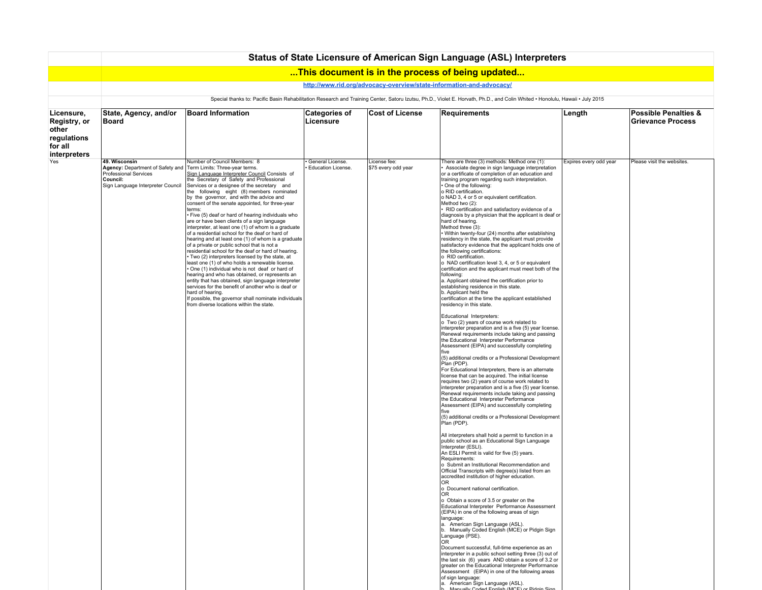|                                                                               | Status of State Licensure of American Sign Language (ASL) Interpreters                                                                                                        |                                                                                                                                                                                                                                                                                                                                                                                                                                                                                                                                                                                                                                                                                                                                                                                                                                                                                                                                                                                                                                                                                                                                                                                        |                                               |                                     |                                                                                                                                                                                                                                                                                                                                                                                                                                                                                                                                                                                                                                                                                                                                                                                                                                                                                                                                                                                                                                                                                                                                                                                                                                                                                                                                                                                                                                                                                                                                                                                                                                                                                                                                                                                                                                                                                                                                                                                                                                                                                                                                                                                                                                                                                                                                                                                                                                                                                                                                                                                                                                                                                                                                                                                                                                                                                                                          |                        |                                                             |  |  |  |  |
|-------------------------------------------------------------------------------|-------------------------------------------------------------------------------------------------------------------------------------------------------------------------------|----------------------------------------------------------------------------------------------------------------------------------------------------------------------------------------------------------------------------------------------------------------------------------------------------------------------------------------------------------------------------------------------------------------------------------------------------------------------------------------------------------------------------------------------------------------------------------------------------------------------------------------------------------------------------------------------------------------------------------------------------------------------------------------------------------------------------------------------------------------------------------------------------------------------------------------------------------------------------------------------------------------------------------------------------------------------------------------------------------------------------------------------------------------------------------------|-----------------------------------------------|-------------------------------------|--------------------------------------------------------------------------------------------------------------------------------------------------------------------------------------------------------------------------------------------------------------------------------------------------------------------------------------------------------------------------------------------------------------------------------------------------------------------------------------------------------------------------------------------------------------------------------------------------------------------------------------------------------------------------------------------------------------------------------------------------------------------------------------------------------------------------------------------------------------------------------------------------------------------------------------------------------------------------------------------------------------------------------------------------------------------------------------------------------------------------------------------------------------------------------------------------------------------------------------------------------------------------------------------------------------------------------------------------------------------------------------------------------------------------------------------------------------------------------------------------------------------------------------------------------------------------------------------------------------------------------------------------------------------------------------------------------------------------------------------------------------------------------------------------------------------------------------------------------------------------------------------------------------------------------------------------------------------------------------------------------------------------------------------------------------------------------------------------------------------------------------------------------------------------------------------------------------------------------------------------------------------------------------------------------------------------------------------------------------------------------------------------------------------------------------------------------------------------------------------------------------------------------------------------------------------------------------------------------------------------------------------------------------------------------------------------------------------------------------------------------------------------------------------------------------------------------------------------------------------------------------------------------------------------|------------------------|-------------------------------------------------------------|--|--|--|--|
|                                                                               |                                                                                                                                                                               |                                                                                                                                                                                                                                                                                                                                                                                                                                                                                                                                                                                                                                                                                                                                                                                                                                                                                                                                                                                                                                                                                                                                                                                        |                                               |                                     | This document is in the process of being updated                                                                                                                                                                                                                                                                                                                                                                                                                                                                                                                                                                                                                                                                                                                                                                                                                                                                                                                                                                                                                                                                                                                                                                                                                                                                                                                                                                                                                                                                                                                                                                                                                                                                                                                                                                                                                                                                                                                                                                                                                                                                                                                                                                                                                                                                                                                                                                                                                                                                                                                                                                                                                                                                                                                                                                                                                                                                         |                        |                                                             |  |  |  |  |
|                                                                               | http://www.rid.org/advocacy-overview/state-information-and-advocacy/                                                                                                          |                                                                                                                                                                                                                                                                                                                                                                                                                                                                                                                                                                                                                                                                                                                                                                                                                                                                                                                                                                                                                                                                                                                                                                                        |                                               |                                     |                                                                                                                                                                                                                                                                                                                                                                                                                                                                                                                                                                                                                                                                                                                                                                                                                                                                                                                                                                                                                                                                                                                                                                                                                                                                                                                                                                                                                                                                                                                                                                                                                                                                                                                                                                                                                                                                                                                                                                                                                                                                                                                                                                                                                                                                                                                                                                                                                                                                                                                                                                                                                                                                                                                                                                                                                                                                                                                          |                        |                                                             |  |  |  |  |
|                                                                               | Special thanks to: Pacific Basin Rehabilitation Research and Training Center, Satoru Izutsu, Ph.D., Violet E. Horvath, Ph.D., and Colin Whited . Honolulu, Hawaii . July 2015 |                                                                                                                                                                                                                                                                                                                                                                                                                                                                                                                                                                                                                                                                                                                                                                                                                                                                                                                                                                                                                                                                                                                                                                                        |                                               |                                     |                                                                                                                                                                                                                                                                                                                                                                                                                                                                                                                                                                                                                                                                                                                                                                                                                                                                                                                                                                                                                                                                                                                                                                                                                                                                                                                                                                                                                                                                                                                                                                                                                                                                                                                                                                                                                                                                                                                                                                                                                                                                                                                                                                                                                                                                                                                                                                                                                                                                                                                                                                                                                                                                                                                                                                                                                                                                                                                          |                        |                                                             |  |  |  |  |
| Licensure,<br>Registry, or<br>other<br>regulations<br>for all<br>interpreters | State, Agency, and/or<br>Board                                                                                                                                                | <b>Board Information</b>                                                                                                                                                                                                                                                                                                                                                                                                                                                                                                                                                                                                                                                                                                                                                                                                                                                                                                                                                                                                                                                                                                                                                               | <b>Categories of</b><br>Licensure             | <b>Cost of License</b>              | <b>Requirements</b>                                                                                                                                                                                                                                                                                                                                                                                                                                                                                                                                                                                                                                                                                                                                                                                                                                                                                                                                                                                                                                                                                                                                                                                                                                                                                                                                                                                                                                                                                                                                                                                                                                                                                                                                                                                                                                                                                                                                                                                                                                                                                                                                                                                                                                                                                                                                                                                                                                                                                                                                                                                                                                                                                                                                                                                                                                                                                                      | Length                 | <b>Possible Penalties &amp;</b><br><b>Grievance Process</b> |  |  |  |  |
| Yes                                                                           | 49. Wisconsin<br>Agency: Department of Safety and<br><b>Professional Services</b><br>Council:<br>Sign Language Interpreter Council                                            | Number of Council Members: 8<br>Term Limits: Three-year terms.<br>Sign Language Interpreter Council Consists of<br>the Secretary of Safety and Professional<br>Services or a designee of the secretary and<br>the following eight (8) members nominated<br>by the governor, and with the advice and<br>consent of the senate appointed, for three-year<br>terms:<br>Five (5) deaf or hard of hearing individuals who<br>are or have been clients of a sign language<br>interpreter, at least one (1) of whom is a graduate<br>of a residential school for the deaf or hard of<br>hearing and at least one (1) of whom is a graduate<br>of a private or public school that is not a<br>residential school for the deaf or hard of hearing.<br>Two (2) interpreters licensed by the state, at<br>least one (1) of who holds a renewable license.<br>One (1) individual who is not deaf or hard of<br>hearing and who has obtained, or represents an<br>entity that has obtained, sign language interpreter<br>services for the benefit of another who is deaf or<br>hard of hearing.<br>If possible, the governor shall nominate individuals<br>from diverse locations within the state. | General License.<br><b>Education License.</b> | License fee:<br>\$75 every odd year | There are three (3) methods: Method one (1):<br>Associate degree in sign language interpretation<br>or a certificate of completion of an education and<br>training program regarding such interpretation.<br>• One of the following:<br>o RID certification.<br>o NAD 3, 4 or 5 or equivalent certification.<br>Method two (2):<br>RID certification and satisfactory evidence of a<br>diagnosis by a physician that the applicant is deaf or<br>hard of hearing.<br>Method three (3):<br>· Within twenty-four (24) months after establishing<br>residency in the state, the applicant must provide<br>satisfactory evidence that the applicant holds one of<br>the following certifications:<br>o RID certification.<br>o NAD certification level 3, 4, or 5 or equivalent<br>certification and the applicant must meet both of the<br>following:<br>a. Applicant obtained the certification prior to<br>establishing residence in this state.<br>b. Applicant held the<br>certification at the time the applicant established<br>residency in this state.<br>Educational Interpreters:<br>o Two (2) years of course work related to<br>interpreter preparation and is a five (5) year license.<br>Renewal requirements include taking and passing<br>the Educational Interpreter Performance<br>Assessment (EIPA) and successfully completing<br>five<br>(5) additional credits or a Professional Development<br>Plan (PDP).<br>For Educational Interpreters, there is an alternate<br>license that can be acquired. The initial license<br>requires two (2) years of course work related to<br>interpreter preparation and is a five (5) year license.<br>Renewal requirements include taking and passing<br>the Educational Interpreter Performance<br>Assessment (EIPA) and successfully completing<br>five<br>(5) additional credits or a Professional Development<br>Plan (PDP).<br>All interpreters shall hold a permit to function in a<br>public school as an Educational Sign Language<br>Interpreter (ESLI).<br>An ESLI Permit is valid for five (5) years.<br>Requirements:<br>o Submit an Institutional Recommendation and<br>Official Transcripts with degree(s) listed from an<br>accredited institution of higher education.<br>ΟR<br>o Document national certification.<br><b>OR</b><br>o Obtain a score of 3.5 or greater on the<br>Educational Interpreter Performance Assessment<br>(EIPA) in one of the following areas of sign<br>language:<br>a. American Sign Language (ASL).<br>b. Manually Coded English (MCE) or Pidgin Sign<br>Language (PSE).<br>OR<br>Document successful, full-time experience as an<br>interpreter in a public school setting three (3) out of<br>the last six (6) years AND obtain a score of 3.2 or<br>greater on the Educational Interpreter Performance<br>Assessment (EIPA) in one of the following areas<br>of sign language:<br>a. American Sign Language (ASL). | Expires every odd year | Please visit the websites.                                  |  |  |  |  |